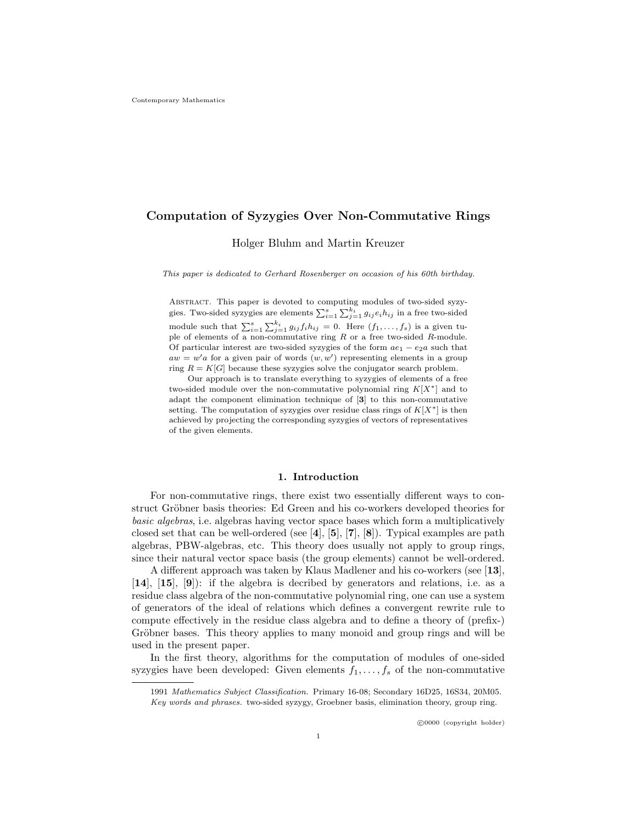# Computation of Syzygies Over Non-Commutative Rings

Holger Bluhm and Martin Kreuzer

This paper is dedicated to Gerhard Rosenberger on occasion of his 60th birthday.

Abstract. This paper is devoted to computing modules of two-sided syzy-Fibistical: This paper is devoted to computing modules of two-sided syzy-<br>gies. Two-sided syzygies are elements  $\sum_{i=1}^{s} \sum_{j=1}^{k_j} g_{ij} e_i h_{ij}$  in a free two-sided module such that  $\sum_{i=1}^{s} \sum_{j=1}^{k_i} g_{ij} f_i h_{ij} = 0$ . Here  $(f_1, \ldots, f_s)$  is a given tuple of elements of a non-commutative ring  $R$  or a free two-sided  $R$ -module. Of particular interest are two-sided syzygies of the form  $ae_1 - e_2a$  such that  $aw = w'a$  for a given pair of words  $(w, w')$  representing elements in a group ring  $R = K[G]$  because these syzygies solve the conjugator search problem.

Our approach is to translate everything to syzygies of elements of a free two-sided module over the non-commutative polynomial ring  $K[X^*]$  and to adapt the component elimination technique of [3] to this non-commutative setting. The computation of syzygies over residue class rings of  $K[X^*]$  is then achieved by projecting the corresponding syzygies of vectors of representatives of the given elements.

#### 1. Introduction

For non-commutative rings, there exist two essentially different ways to construct Gröbner basis theories: Ed Green and his co-workers developed theories for basic algebras, i.e. algebras having vector space bases which form a multiplicatively closed set that can be well-ordered (see [4], [5], [7], [8]). Typical examples are path algebras, PBW-algebras, etc. This theory does usually not apply to group rings, since their natural vector space basis (the group elements) cannot be well-ordered.

A different approach was taken by Klaus Madlener and his co-workers (see [13],  $[14]$ ,  $[15]$ ,  $[9]$ : if the algebra is decribed by generators and relations, i.e. as a residue class algebra of the non-commutative polynomial ring, one can use a system of generators of the ideal of relations which defines a convergent rewrite rule to compute effectively in the residue class algebra and to define a theory of (prefix-) Gröbner bases. This theory applies to many monoid and group rings and will be used in the present paper.

In the first theory, algorithms for the computation of modules of one-sided syzygies have been developed: Given elements  $f_1, \ldots, f_s$  of the non-commutative

<sup>1991</sup> Mathematics Subject Classification. Primary 16-08; Secondary 16D25, 16S34, 20M05. Key words and phrases. two-sided syzygy, Groebner basis, elimination theory, group ring.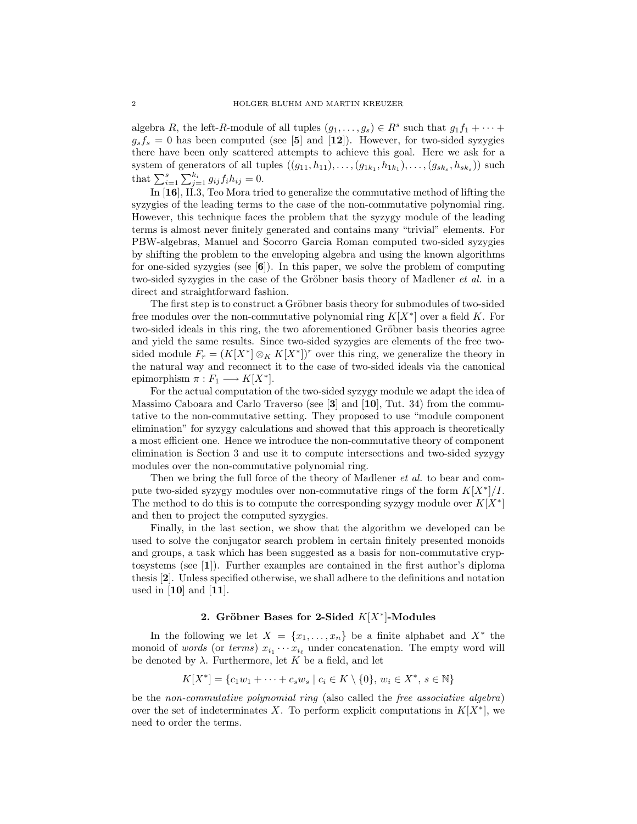algebra R, the left-R-module of all tuples  $(g_1, \ldots, g_s) \in R^s$  such that  $g_1 f_1 + \cdots$  $g_s f_s = 0$  has been computed (see [5] and [12]). However, for two-sided syzygies there have been only scattered attempts to achieve this goal. Here we ask for a system of generators of all tuples  $((g_{11}, h_{11}), \ldots, (g_{1k_1}, h_{1k_1}), \ldots, (g_{sk_s}, h_{sk_s}))$  such system of generators of an tu<br>that  $\sum_{i=1}^{s} \sum_{j=1}^{k_i} g_{ij} f_i h_{ij} = 0.$ 

In [16], II.3, Teo Mora tried to generalize the commutative method of lifting the syzygies of the leading terms to the case of the non-commutative polynomial ring. However, this technique faces the problem that the syzygy module of the leading terms is almost never finitely generated and contains many "trivial" elements. For PBW-algebras, Manuel and Socorro Garcia Roman computed two-sided syzygies by shifting the problem to the enveloping algebra and using the known algorithms for one-sided syzygies (see  $[6]$ ). In this paper, we solve the problem of computing two-sided syzygies in the case of the Gröbner basis theory of Madlener  $et \ al.$  in a direct and straightforward fashion.

The first step is to construct a Gröbner basis theory for submodules of two-sided free modules over the non-commutative polynomial ring  $K[X^*]$  over a field K. For two-sided ideals in this ring, the two aforementioned Gröbner basis theories agree and yield the same results. Since two-sided syzygies are elements of the free twosided module  $F_r = (K[X^*] \otimes_K K[X^*])^r$  over this ring, we generalize the theory in the natural way and reconnect it to the case of two-sided ideals via the canonical epimorphism  $\pi : F_1 \longrightarrow K[X^*].$ 

For the actual computation of the two-sided syzygy module we adapt the idea of Massimo Caboara and Carlo Traverso (see [3] and [10], Tut. 34) from the commutative to the non-commutative setting. They proposed to use "module component elimination" for syzygy calculations and showed that this approach is theoretically a most efficient one. Hence we introduce the non-commutative theory of component elimination is Section 3 and use it to compute intersections and two-sided syzygy modules over the non-commutative polynomial ring.

Then we bring the full force of the theory of Madlener *et al.* to bear and compute two-sided syzygy modules over non-commutative rings of the form  $K[X^*]/I$ . The method to do this is to compute the corresponding syzygy module over  $K[X^*]$ and then to project the computed syzygies.

Finally, in the last section, we show that the algorithm we developed can be used to solve the conjugator search problem in certain finitely presented monoids and groups, a task which has been suggested as a basis for non-commutative cryptosystems (see [1]). Further examples are contained in the first author's diploma thesis [2]. Unless specified otherwise, we shall adhere to the definitions and notation used in  $[10]$  and  $[11]$ .

## 2. Gröbner Bases for 2-Sided  $K[X^*]$ -Modules

In the following we let  $X = \{x_1, \ldots, x_n\}$  be a finite alphabet and  $X^*$  the monoid of *words* (or *terms*)  $x_{i_1} \cdots x_{i_\ell}$  under concatenation. The empty word will be denoted by  $\lambda$ . Furthermore, let K be a field, and let

$$
K[X^*] = \{c_1w_1 + \dots + c_sw_s \mid c_i \in K \setminus \{0\}, w_i \in X^*, s \in \mathbb{N}\}\
$$

be the non-commutative polynomial ring (also called the free associative algebra) over the set of indeterminates X. To perform explicit computations in  $K[X^*]$ , we need to order the terms.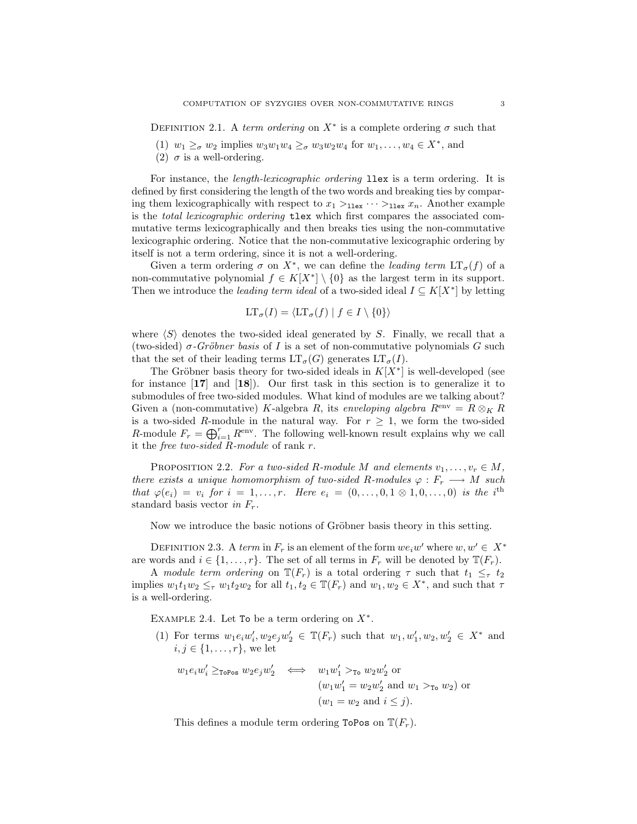DEFINITION 2.1. A term ordering on  $X^*$  is a complete ordering  $\sigma$  such that

- (1)  $w_1 \geq_{\sigma} w_2$  implies  $w_3w_1w_4 \geq_{\sigma} w_3w_2w_4$  for  $w_1, \ldots, w_4 \in X^*$ , and
- (2)  $\sigma$  is a well-ordering.

For instance, the *length-lexicographic ordering* **llex** is a term ordering. It is defined by first considering the length of the two words and breaking ties by comparing them lexicographically with respect to  $x_1 >_{\text{llex}} \cdots >_{\text{llex}} x_n$ . Another example is the *total lexicographic ordering* tlex which first compares the associated commutative terms lexicographically and then breaks ties using the non-commutative lexicographic ordering. Notice that the non-commutative lexicographic ordering by itself is not a term ordering, since it is not a well-ordering.

Given a term ordering  $\sigma$  on  $X^*$ , we can define the *leading term*  $LT_{\sigma}(f)$  of a non-commutative polynomial  $f \in K[X^*] \setminus \{0\}$  as the largest term in its support. Then we introduce the *leading term ideal* of a two-sided ideal  $I \subseteq K[X^*]$  by letting

$$
LT_{\sigma}(I) = \langle LT_{\sigma}(f) | f \in I \setminus \{0\}\rangle
$$

where  $\langle S \rangle$  denotes the two-sided ideal generated by S. Finally, we recall that a (two-sided)  $\sigma$ -Gröbner basis of I is a set of non-commutative polynomials G such that the set of their leading terms  $LT_{\sigma}(G)$  generates  $LT_{\sigma}(I)$ .

The Gröbner basis theory for two-sided ideals in  $K[X^*]$  is well-developed (see for instance [17] and [18]). Our first task in this section is to generalize it to submodules of free two-sided modules. What kind of modules are we talking about? Given a (non-commutative) K-algebra R, its enveloping algebra  $R^{\text{env}} = R \otimes_K R$ is a two-sided R-module in the natural way. For  $r \geq 1$ , we form the two-sided is a two-sided *R*-module in the natural way. For  $r \geq 1$ , we form the two-sided *R*-module  $F_r = \bigoplus_{i=1}^r R^{\text{env}}$ . The following well-known result explains why we call it the free two-sided R-module of rank r.

PROPOSITION 2.2. For a two-sided R-module M and elements  $v_1, \ldots, v_r \in M$ , there exists a unique homomorphism of two-sided R-modules  $\varphi : F_r \longrightarrow M$  such that  $\varphi(e_i) = v_i$  for  $i = 1, \ldots, r$ . Here  $e_i = (0, \ldots, 0, 1 \otimes 1, 0, \ldots, 0)$  is the i<sup>th</sup> standard basis vector in  $F_r$ .

Now we introduce the basic notions of Gröbner basis theory in this setting.

DEFINITION 2.3. A term in  $F_r$  is an element of the form  $we_iw'$  where  $w, w' \in X^*$ are words and  $i \in \{1, ..., r\}$ . The set of all terms in  $F_r$  will be denoted by  $\mathbb{T}(F_r)$ .

A module term ordering on  $\mathbb{T}(F_r)$  is a total ordering  $\tau$  such that  $t_1 \leq_\tau t_2$ implies  $w_1t_1w_2 \leq_\tau w_1t_2w_2$  for all  $t_1, t_2 \in \mathbb{T}(F_r)$  and  $w_1, w_2 \in X^*$ , and such that  $\tau$ is a well-ordering.

EXAMPLE 2.4. Let To be a term ordering on  $X^*$ .

(1) For terms  $w_1 e_i w'_i, w_2 e_j w'_2 \in \mathbb{T}(F_r)$  such that  $w_1, w'_1, w_2, w'_2 \in X^*$  and  $i, j \in \{1, ..., r\}$ , we let

 $w_1 e_i w_i' \geq_{\text{ToPos}} w_2 e_j w_2' \iff w_1 w_1' >_{\text{To}} w_2 w_2' \text{ or }$  $(w_1w'_1 = w_2w'_2$  and  $w_1 >_{\text{To}} w_2$ ) or  $(w_1 = w_2 \text{ and } i \leq j).$ 

This defines a module term ordering ToPos on  $\mathbb{T}(F_r)$ .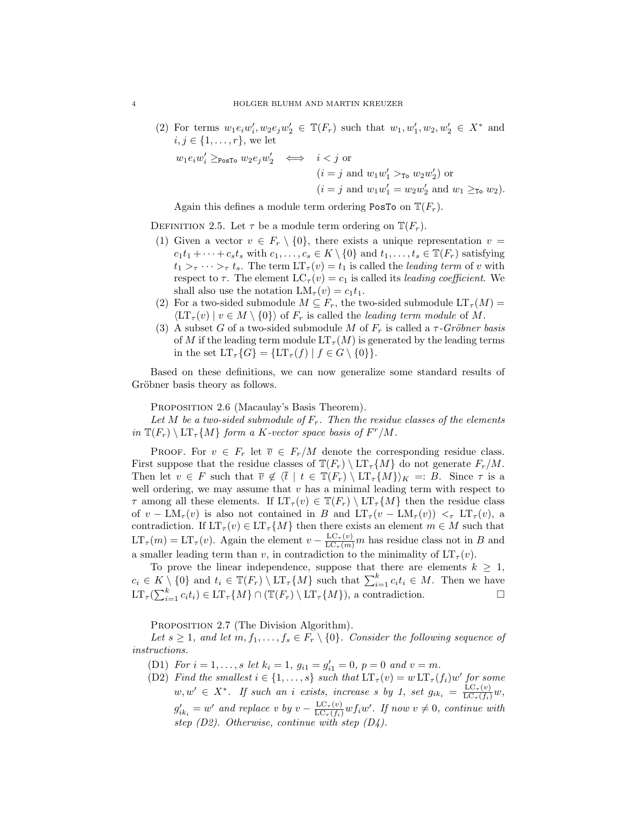(2) For terms  $w_1 e_i w'_i, w_2 e_j w'_2 \in \mathbb{T}(F_r)$  such that  $w_1, w'_1, w_2, w'_2 \in X^*$  and  $i, j \in \{1, ..., r\}$ , we let  $w_1 e_i w_i' \geq_{\texttt{PosTo}} w_2 e_j w_2' \iff i < j \text{ or }$  $(i = j \text{ and } w_1w'_1 >_{\text{To}} w_2w'_2)$  or  $(i = j \text{ and } w_1w'_1 = w_2w'_2 \text{ and } w_1 \geq_{\text{To}} w_2).$ 

Again this defines a module term ordering PosTo on  $\mathbb{T}(F_r)$ .

DEFINITION 2.5. Let  $\tau$  be a module term ordering on  $\mathbb{T}(F_r)$ .

- (1) Given a vector  $v \in F_r \setminus \{0\}$ , there exists a unique representation  $v =$  $c_1t_1 + \cdots + c_st_s$  with  $c_1, \ldots, c_s \in K \setminus \{0\}$  and  $t_1, \ldots, t_s \in \mathbb{T}(F_r)$  satisfying  $t_1 >_\tau \cdots >_\tau t_s$ . The term  $LT_\tau(v) = t_1$  is called the *leading term* of v with respect to  $\tau$ . The element  $LC_{\tau}(v) = c_1$  is called its *leading coefficient*. We shall also use the notation  $LM_{\tau}(v) = c_1t_1$ .
- (2) For a two-sided submodule  $M \subseteq F_r$ , the two-sided submodule  $LT_\tau(M)$  =  $\langle LT_{\tau}(v) | v \in M \setminus \{0\} \rangle$  of  $F_r$  is called the *leading term module* of M.
- (3) A subset G of a two-sided submodule M of  $F_r$  is called a  $\tau$ -Gröbner basis of M if the leading term module  $LT_{\tau}(M)$  is generated by the leading terms in the set  $LT_{\tau}{G} = \{LT_{\tau}(f) | f \in G \setminus \{0\}\}.$

Based on these definitions, we can now generalize some standard results of Gröbner basis theory as follows.

PROPOSITION 2.6 (Macaulay's Basis Theorem).

Let M be a two-sided submodule of  $F_r$ . Then the residue classes of the elements in  $\mathbb{T}(F_r) \setminus \mathrm{LT}_{\tau}\{M\}$  form a K-vector space basis of  $F^r/M$ .

PROOF. For  $v \in F_r$  let  $\overline{v} \in F_r/M$  denote the corresponding residue class. First suppose that the residue classes of  $\mathbb{T}(F_r) \setminus \mathop{\rm LT}\nolimits_{\tau} \{M\}$  do not generate  $F_r/M$ . Then let  $v \in F$  such that  $\overline{v} \notin \langle \overline{t} \mid t \in \mathbb{T}(F_r) \setminus \mathrm{LT}_{\tau} \{M\} \rangle_K =: B$ . Since  $\tau$  is a well ordering, we may assume that  $v$  has a minimal leading term with respect to  $\tau$  among all these elements. If  $LT_{\tau}(v) \in \mathbb{T}(F_r) \setminus LT_{\tau}\{M\}$  then the residue class of  $v - LM_\tau(v)$  is also not contained in B and  $LT_\tau(v - LM_\tau(v)) <_\tau LT_\tau(v)$ , a contradiction. If  $LT_{\tau}(v) \in LT_{\tau}\{M\}$  then there exists an element  $m \in M$  such that  $LT_{\tau}(m) = LT_{\tau}(v)$ . Again the element  $v - \frac{LC_{\tau}(v)}{LC_{\tau}(m)}m$  has residue class not in B and a smaller leading term than v, in contradiction to the minimality of  $LT_{\tau}(v)$ .

To prove the linear independence, suppose that there are elements  $k \geq 1$ ,  $c_i \in K \setminus \{0\}$  and  $t_i \in \mathbb{T}(F_r) \setminus \text{LT}_{\tau} \{M\}$  such that  $\sum_{i=1}^k c_i t_i \in M$ . Then we have LT  $\pi(\sum_{i=1}^k c_i t_i) \in \text{LT}_{\tau}\{M\} \cap (\mathbb{T}(F_r) \setminus \text{LT}_{\tau}\{M\}),$  a contradiction.  $\Box$ 

PROPOSITION 2.7 (The Division Algorithm).

Let  $s \geq 1$ , and let  $m, f_1, \ldots, f_s \in F_r \setminus \{0\}$ . Consider the following sequence of instructions.

- (D1) For  $i = 1, ..., s$  let  $k_i = 1$ ,  $g_{i1} = g'_{i1} = 0$ ,  $p = 0$  and  $v = m$ .
- (D2) Find the smallest  $i \in \{1, \ldots, s\}$  such that  $LT_{\tau}(v) = w LT_{\tau}(f_i)w'$  for some  $w, w' \in X^*$ . If such an i exists, increase s by 1, set  $g_{ik_i} = \frac{\mathcal{LC}_{\tau}(v)}{\mathcal{LC}_{\tau}(f_i)}w$ ,  $g'_{ik_i} = w'$  and replace v by  $v - \frac{\text{LC}_{\tau}(v)}{\text{LC}_{\tau}(f_i)}wf_iw'$ . If now  $v \neq 0$ , continue with step  $(D2)$ . Otherwise, continue with step  $(D4)$ .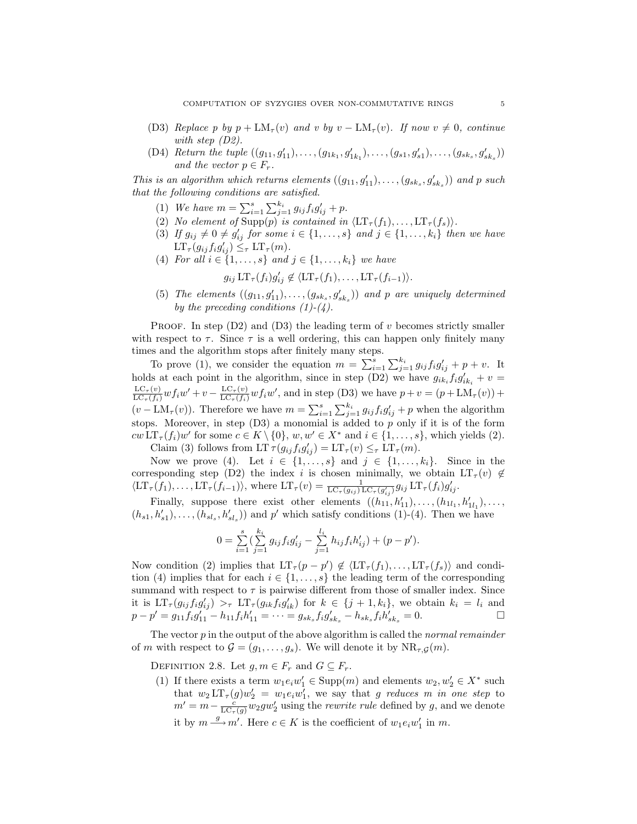- (D3) Replace p by  $p + LM_{\tau}(v)$  and v by  $v LM_{\tau}(v)$ . If now  $v \neq 0$ , continue with step (D2).
- (D4) Return the tuple  $((g_{11}, g'_{11}), \ldots, (g_{1k_1}, g'_{1k_1}), \ldots, (g_{s1}, g'_{s1}), \ldots, (g_{sk_s}, g'_{sk_s}))$ and the vector  $p \in F_r$ .

This is an algorithm which returns elements  $((g_{11}, g'_{11}), \ldots, (g_{sk_s}, g'_{sk_s}))$  and p such that the following conditions are satisfied.

- (1) We have  $m = \sum_{i=1}^{s}$  $\sum_{i=1}^{s} \sum_{j=1}^{k_i} g_{ij} f_i g'_{ij} + p.$
- (2) No element of Supp $(p)$  is contained in  $\langle \mathop{\rm LT}\nolimits_\tau (f_1), \ldots, \mathop{\rm LT}\nolimits_\tau (f_s)\rangle$ .
- (3) If  $g_{ij} \neq 0 \neq g'_{ij}$  for some  $i \in \{1, \ldots, s\}$  and  $j \in \{1, \ldots, k_i\}$  then we have  $LT_{\tau}(g_{ij}f_ig'_{ij}) \leq_{\tau} LT_{\tau}(m).$
- (4) For all  $i \in \{1, ..., s\}$  and  $j \in \{1, ..., k_i\}$  we have

$$
g_{ij}
$$
 LT <sub>$\tau$</sub>  $(f_i)g'_{ij} \notin \langle LT_{\tau}(f_1), \ldots, LT_{\tau}(f_{i-1})\rangle.$ 

(5) The elements  $((g_{11}, g'_{11}), \ldots, (g_{sk_s}, g'_{sk_s}))$  and p are uniquely determined by the preceding conditions  $(1)-(4)$ .

**PROOF.** In step  $(D2)$  and  $(D3)$  the leading term of v becomes strictly smaller with respect to  $\tau$ . Since  $\tau$  is a well ordering, this can happen only finitely many times and the algorithm stops after finitely many steps.

To prove (1), we consider the equation  $m = \sum_{i=1}^{s} \sum_{j=1}^{k_i} g_{ij} f_i g'_{ij} + p + v$ . It holds at each point in the algorithm, since in step (D2) we have  $g_{ik_i} f_i g'_{ik_i} + v =$  $\frac{\text{LC}_{\tau}(v)}{\text{LC}_{\tau}(f_i)}wf_iw' + v - \frac{\text{LC}_{\tau}(v)}{\text{LC}_{\tau}(f_i)}wf_iw'$ , and in step (D3) we have  $p + v = (p + \text{LM}_{\tau}(v)) +$  $\text{LC}_{\tau}(I_i)$  is  $\text{LC}_{\tau}(I_i)$ . Therefore we have  $m = \sum_{i=1}^{s}$  $\sum_{i=1}^s \sum_{j=1}^{k_i} g_{ij} f_i g'_{ij} + p$  when the algorithm stops. Moreover, in step (D3) a monomial is added to  $p$  only if it is of the form  $cw \, \mathrm{LT}_{\tau}(f_i) w'$  for some  $c \in K \setminus \{0\}, w, w' \in X^*$  and  $i \in \{1, \ldots, s\}$ , which yields (2).

Claim (3) follows from LT  $\tau(g_{ij}f_ig'_{ij}) = LT_{\tau}(v) \leq_{\tau} LT_{\tau}(m)$ .

Now we prove (4). Let  $i \in \{1, \ldots, s\}$  and  $j \in \{1, \ldots, k_i\}$ . Since in the corresponding step (D2) the index i is chosen minimally, we obtain  $LT_{\tau}(v) \notin$  $\langle \mathrm{LT}_{\tau}(f_1), \ldots, \mathrm{LT}_{\tau}(f_{i-1}) \rangle$ , where  $\mathrm{LT}_{\tau}(v) = \frac{1}{\mathrm{LC}_{\tau}(g_{ij}) \mathrm{LC}_{\tau}(g'_{ij})} g_{ij} \mathrm{LT}_{\tau}(f_i) g'_{ij}$ .

Finally, suppose there exist other elements  $((h_{11}, h'_{11}), \ldots, (h_{1l_1}, h'_{1l_1}), \ldots,$  $(h_{s1}, h'_{s1}), \ldots, (h_{sl_s}, h'_{sl_s})$  and p' which satisfy conditions (1)-(4). Then we have

$$
0 = \sum_{i=1}^{s} \left( \sum_{j=1}^{k_i} g_{ij} f_i g'_{ij} - \sum_{j=1}^{l_i} h_{ij} f_i h'_{ij} \right) + (p - p').
$$

Now condition (2) implies that  $LT_{\tau}(p - p') \notin \langle LT_{\tau}(f_1), \ldots, LT_{\tau}(f_s) \rangle$  and condition (4) implies that for each  $i \in \{1, \ldots, s\}$  the leading term of the corresponding summand with respect to  $\tau$  is pairwise different from those of smaller index. Since it is  $LT_{\tau}(g_{ij}f_ig'_{ij}) >_{\tau} LT_{\tau}(g_{ik}f_ig'_{ik})$  for  $k \in \{j+1, k_i\}$ , we obtain  $k_i = l_i$  and  $p - p' = g_{11} f_i g'_{11} - h_{11} f_i h'_{11} = \cdots = g_{sk_s} f_i g'_{sk_s} - h_{sk_s} f_i h'_{sk_s} = 0.$ 

The vector  $p$  in the output of the above algorithm is called the normal remainder of m with respect to  $\mathcal{G} = (g_1, \ldots, g_s)$ . We will denote it by  $\text{NR}_{\tau, \mathcal{G}}(m)$ .

DEFINITION 2.8. Let  $g, m \in F_r$  and  $G \subseteq F_r$ .

(1) If there exists a term  $w_1e_iw'_1 \in \text{Supp}(m)$  and elements  $w_2, w'_2 \in X^*$  such that  $w_2 \, \mathrm{LT}_{\tau}(g) w_2' = w_1 e_i w_1'$ , we say that g reduces m in one step to  $m' = m - \frac{c}{LC_{\tau}(g)}w_2gw'_2$  using the *rewrite rule* defined by g, and we denote it by  $m \stackrel{g}{\longrightarrow} m'$ . Here  $c \in K$  is the coefficient of  $w_1 e_i w'_1$  in m.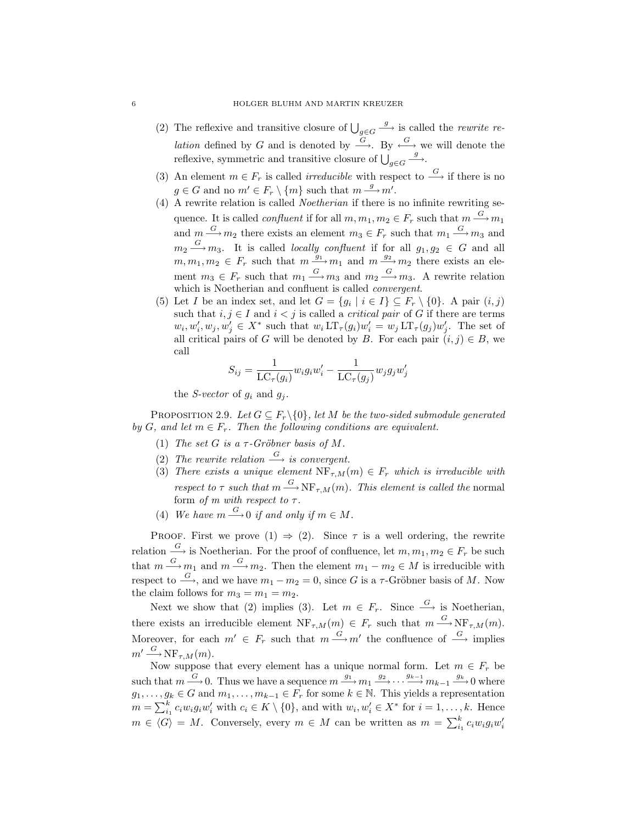- (2) The reflexive and transitive closure of  $\bigcup_{g\in G}$  $\stackrel{g}{\longrightarrow}$  is called the *rewrite relation* defined by G and is denoted by  $\frac{G}{\longrightarrow}$ . By  $\leftarrow$  we will denote the reflexive, symmetric and transitive closure of  $\bigcup_{g \in G}$  $\xrightarrow{g}$ .
- (3) An element  $m \in F_r$  is called *irreducible* with respect to  $\stackrel{G}{\longrightarrow}$  if there is no  $g \in G$  and no  $m' \in F_r \setminus \{m\}$  such that  $m \stackrel{g}{\longrightarrow} m'.$
- (4) A rewrite relation is called Noetherian if there is no infinite rewriting sequence. It is called *confluent* if for all  $m, m_1, m_2 \in F_r$  such that  $m \stackrel{G}{\longrightarrow} m_1$ and  $m \stackrel{G}{\longrightarrow} m_2$  there exists an element  $m_3 \in F_r$  such that  $m_1 \stackrel{G}{\longrightarrow} m_3$  and  $m_2 \stackrel{G}{\longrightarrow} m_3$ . It is called *locally confluent* if for all  $g_1, g_2 \in G$  and all  $m, m_1, m_2 \in F_r$  such that  $m \xrightarrow{g_1} m_1$  and  $m \xrightarrow{g_2} m_2$  there exists an element  $m_3 \in F_r$  such that  $m_1 \stackrel{G}{\longrightarrow} m_3$  and  $m_2 \stackrel{G}{\longrightarrow} m_3$ . A rewrite relation which is Noetherian and confluent is called *convergent*.
- (5) Let I be an index set, and let  $G = \{g_i \mid i \in I\} \subseteq F_r \setminus \{0\}$ . A pair  $(i, j)$ such that  $i, j \in I$  and  $i < j$  is called a *critical pair* of G if there are terms  $w_i, w'_i, w_j, w'_j \in X^*$  such that  $w_i \mathop{\rm LT}\nolimits_\tau(g_i)w'_i = w_j \mathop{\rm LT}\nolimits_\tau(g_j)w'_j$ . The set of all critical pairs of G will be denoted by B. For each pair  $(i, j) \in B$ , we call

$$
S_{ij} = \frac{1}{LC_{\tau}(g_i)} w_i g_i w_i' - \frac{1}{LC_{\tau}(g_j)} w_j g_j w_j'
$$

the S-vector of  $g_i$  and  $g_j$ .

PROPOSITION 2.9. Let  $G \subseteq F_r \backslash \{0\}$ , let M be the two-sided submodule generated by G, and let  $m \in F_r$ . Then the following conditions are equivalent.

- (1) The set G is a  $\tau$ -Gröbner basis of M.
- (2) The rewrite relation  $\stackrel{G}{\longrightarrow}$  is convergent.
- (3) There exists a unique element  $NF_{\tau,M}(m) \in F_r$  which is irreducible with respect to  $\tau$  such that  $m \stackrel{G}{\longrightarrow} \text{NF}_{\tau,M}(m)$ . This element is called the normal form of m with respect to  $\tau$ .
- (4) We have  $m \stackrel{G}{\longrightarrow} 0$  if and only if  $m \in M$ .

PROOF. First we prove (1)  $\Rightarrow$  (2). Since  $\tau$  is a well ordering, the rewrite relation  $\stackrel{G}{\longrightarrow}$  is Noetherian. For the proof of confluence, let  $m, m_1, m_2 \in F_r$  be such that  $m \stackrel{G}{\longrightarrow} m_1$  and  $m \stackrel{G}{\longrightarrow} m_2$ . Then the element  $m_1 - m_2 \in M$  is irreducible with respect to  $\stackrel{G}{\longrightarrow}$ , and we have  $m_1 - m_2 = 0$ , since G is a  $\tau$ -Gröbner basis of M. Now the claim follows for  $m_3 = m_1 = m_2$ .

Next we show that (2) implies (3). Let  $m \in F_r$ . Since  $\stackrel{G}{\longrightarrow}$  is Noetherian, there exists an irreducible element  $NF_{\tau,M}(m) \in F_r$  such that  $m \stackrel{G}{\longrightarrow} NF_{\tau,M}(m)$ . Moreover, for each  $m' \in F_r$  such that  $m \stackrel{G}{\longrightarrow} m'$  the confluence of  $\stackrel{G}{\longrightarrow}$  implies  $m' \xrightarrow{G} \text{NF}_{\tau,M}(m).$ 

Now suppose that every element has a unique normal form. Let  $m \in F_r$  be such that  $m \stackrel{G}{\longrightarrow} 0$ . Thus we have a sequence  $m \stackrel{g_1}{\longrightarrow} m_1 \stackrel{g_2}{\longrightarrow} \cdots \stackrel{g_{k-1}}{\longrightarrow} m_{k-1} \stackrel{g_k}{\longrightarrow} 0$  where  $g_1, \ldots, g_k \in G$  and  $m_1, \ldots, m_{k-1} \in F_r$  for some  $k \in \mathbb{N}$ . This yields a representation  $m = \sum_{i=1}^{k}$  $i_1^k c_i w_i g_i w_i'$  with  $c_i \in K \setminus \{0\}$ , and with  $w_i, w_i' \in X^*$  for  $i = 1, \ldots, k$ . Hence  $m \in \langle G \rangle = M$ . Conversely, every  $m \in M$  can be written as  $m = \sum_{i=1}^{k}$  $_{i_1}^k$   $c_iw_ig_iw_i'$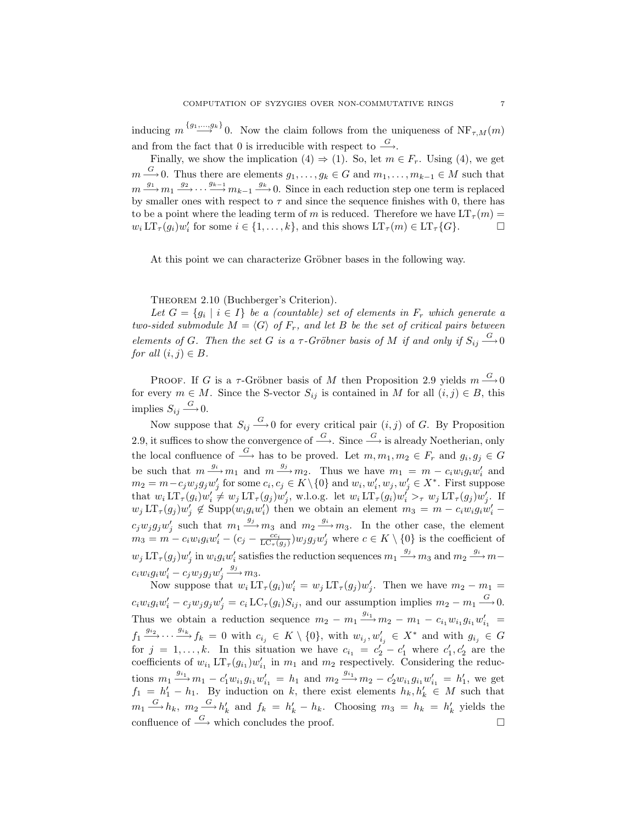inducing  $m \stackrel{\{g_1,\ldots,g_k\}}{\longrightarrow} 0$ . Now the claim follows from the uniqueness of  $NF_{\tau,M}(m)$ and from the fact that 0 is irreducible with respect to  $\frac{G}{\longrightarrow}$ .

Finally, we show the implication (4)  $\Rightarrow$  (1). So, let  $m \in F_r$ . Using (4), we get  $m \stackrel{G}{\longrightarrow} 0$ . Thus there are elements  $g_1, \ldots, g_k \in G$  and  $m_1, \ldots, m_{k-1} \in M$  such that  $m \xrightarrow{g_1} m_1 \xrightarrow{g_2} \cdots \xrightarrow{g_{k-1}} m_{k-1} \xrightarrow{g_k} 0$ . Since in each reduction step one term is replaced by smaller ones with respect to  $\tau$  and since the sequence finishes with 0, there has to be a point where the leading term of m is reduced. Therefore we have  $LT_{\tau}(m)$  =  $w_i \operatorname{LT}_{\tau}(g_i)w'_i$  for some  $i \in \{1, ..., k\}$ , and this shows  $\operatorname{LT}_{\tau}(m) \in \operatorname{LT}_{\tau}\{G\}$ .

At this point we can characterize Gröbner bases in the following way.

### THEOREM 2.10 (Buchberger's Criterion).

Let  $G = \{g_i \mid i \in I\}$  be a (countable) set of elements in  $F_r$  which generate a two-sided submodule  $M = \langle G \rangle$  of  $F_r$ , and let B be the set of critical pairs between elements of G. Then the set G is a  $\tau$ -Gröbner basis of M if and only if  $S_{ij} \stackrel{G}{\longrightarrow} 0$ for all  $(i, j) \in B$ .

PROOF. If G is a  $\tau$ -Gröbner basis of M then Proposition 2.9 yields  $m \stackrel{G}{\longrightarrow} 0$ for every  $m \in M$ . Since the S-vector  $S_{ij}$  is contained in M for all  $(i, j) \in B$ , this implies  $S_{ij} \stackrel{G}{\longrightarrow} 0$ .

Now suppose that  $S_{ij} \stackrel{G}{\longrightarrow} 0$  for every critical pair  $(i, j)$  of G. By Proposition 2.9, it suffices to show the convergence of  $\stackrel{G}{\longrightarrow}$ . Since  $\stackrel{G}{\longrightarrow}$  is already Noetherian, only the local confluence of  $\stackrel{G}{\longrightarrow}$  has to be proved. Let  $m, m_1, m_2 \in F_r$  and  $g_i, g_j \in G$ be such that  $m \xrightarrow{g_i} m_1$  and  $m \xrightarrow{g_j} m_2$ . Thus we have  $m_1 = m - c_i w_i g_i w'_i$  and  $m_2 = m - c_j w_j g_j w'_j$  for some  $c_i, c_j \in K \setminus \{0\}$  and  $w_i, w'_i, w_j, w'_j \in X^*$ . First suppose that  $w_i \, \mathrm{LT}_{\tau}(g_i) w'_i \neq w_j \, \mathrm{LT}_{\tau}(g_j) w'_j$ , w.l.o.g. let  $w_i \, \mathrm{LT}_{\tau}(g_i) w'_i >_{\tau} w_j \, \mathrm{LT}_{\tau}(g_j) w'_j$ . If  $w_j \,\mathrm{LT}_{\tau}(g_j)w'_j \notin \text{Supp}(w_ig_iw'_i)$  then we obtain an element  $m_3 = m - c_iw_ig_iw'_i$  $c_j w_j g_j w'_j$  such that  $m_1 \stackrel{g_j}{\longrightarrow} m_3$  and  $m_2 \stackrel{g_i}{\longrightarrow} m_3$ . In the other case, the element  $m_3 = m - c_i w_i g_i w'_i - (c_j - \frac{c c_i}{\text{LC}_{\tau}(g_j)}) w_j g_j w'_j$  where  $c \in K \setminus \{0\}$  is the coefficient of  $w_j \,\mathrm{LT}_{\tau}(g_j)w'_j$  in  $w_ig_iw'_i$  satisfies the reduction sequences  $m_1 \xrightarrow{g_j} m_3$  and  $m_2 \xrightarrow{g_i} m$  $c_i w_i g_i w'_i - c_j w_j g_j w'_j \stackrel{g_j}{\longrightarrow} m_3.$ 

Now suppose that  $w_i \mathop{\rm LT}\nolimits_{\tau}(g_i)w'_i = w_j \mathop{\rm LT}\nolimits_{\tau}(g_j)w'_j$ . Then we have  $m_2 - m_1 =$  $c_i w_i g_i w'_i - c_j w_j g_j w'_j = c_i L C_{\tau}(g_i) S_{ij}$ , and our assumption implies  $m_2 - m_1 \stackrel{G}{\longrightarrow} 0$ . Thus we obtain a reduction sequence  $m_2 - m_1 \xrightarrow{g_{i_1}} m_2 - m_1 - c_{i_1} w_{i_1} g_{i_1} w'_{i_1} =$  $f_1 \xrightarrow{g_{i_2}} \cdots \xrightarrow{g_{i_k}} f_k = 0$  with  $c_{i_j} \in K \setminus \{0\}$ , with  $w_{i_j}, w'_{i_j} \in X^*$  and with  $g_{i_j} \in G$ for  $j = 1, ..., k$ . In this situation we have  $c_{i_1} = c_2' - c_1'$  where  $c_1', c_2'$  are the coefficients of  $w_{i_1} \mathop{\rm LT}\nolimits_{\tau}(g_{i_1})w'_{i_1}$  in  $m_1$  and  $m_2$  respectively. Considering the reductions  $m_1 \stackrel{g_{i_1}}{\longrightarrow} m_1 - c'_1 w_{i_1} g_{i_1} w'_{i_1} = h_1$  and  $m_2 \stackrel{g_{i_1}}{\longrightarrow} m_2 - c'_2 w_{i_1} g_{i_1} w'_{i_1} = h'_1$ , we get  $f_1 = h'_1 - h_1$ . By induction on k, there exist elements  $h_k, h'_k \in M$  such that  $m_1 \stackrel{G}{\longrightarrow} h_k$ ,  $m_2 \stackrel{G}{\longrightarrow} h'_k$  and  $f_k = h'_k - h_k$ . Choosing  $m_3 = h_k = h'_k$  yields the confluence of  $\frac{G}{\longrightarrow}$  which concludes the proof.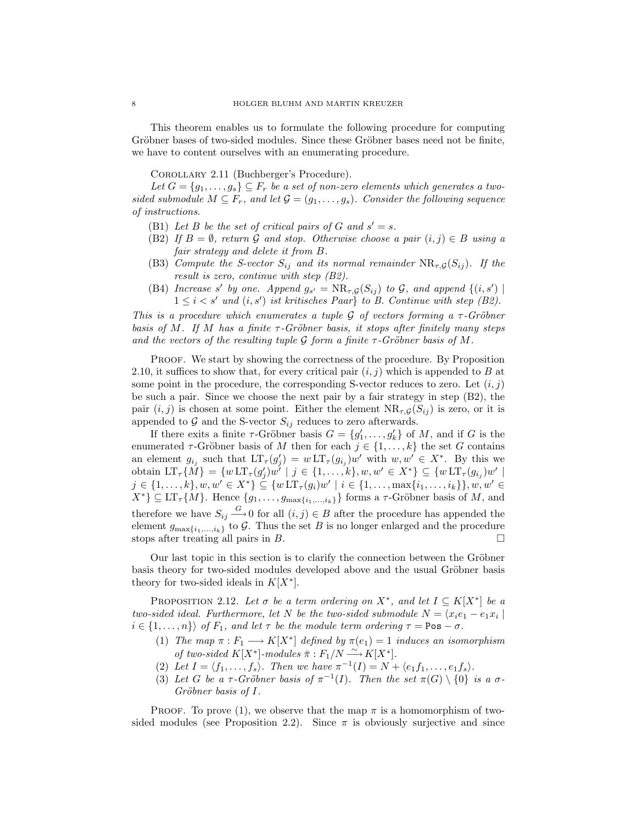This theorem enables us to formulate the following procedure for computing Gröbner bases of two-sided modules. Since these Gröbner bases need not be finite, we have to content ourselves with an enumerating procedure.

Corollary 2.11 (Buchberger's Procedure).

Let  $G = \{g_1, \ldots, g_s\} \subseteq F_r$  be a set of non-zero elements which generates a twosided submodule  $M \subseteq F_r$ , and let  $\mathcal{G} = (g_1, \ldots, g_s)$ . Consider the following sequence of instructions.

- (B1) Let B be the set of critical pairs of G and  $s' = s$ .
- (B2) If  $B = \emptyset$ , return G and stop. Otherwise choose a pair  $(i, j) \in B$  using a fair strategy and delete it from B.
- (B3) Compute the S-vector  $S_{ij}$  and its normal remainder  $NR_{\tau,\mathcal{G}}(S_{ij})$ . If the result is zero, continue with step (B2).
- (B4) Increase s' by one. Append  $g_{s'} = NR_{\tau,G}(S_{ij})$  to G, and append  $\{(i,s')\mid s' \in S_{\tau,G}(S_{ij})\}$  $1 \leq i \leq s'$  und  $(i, s')$  ist kritisches Paar} to B. Continue with step (B2).

This is a procedure which enumerates a tuple G of vectors forming a  $\tau$ -Gröbner basis of M. If M has a finite  $\tau$ -Gröbner basis, it stops after finitely many steps and the vectors of the resulting tuple G form a finite  $\tau$ -Gröbner basis of M.

Proof. We start by showing the correctness of the procedure. By Proposition 2.10, it suffices to show that, for every critical pair  $(i, j)$  which is appended to B at some point in the procedure, the corresponding S-vector reduces to zero. Let  $(i, j)$ be such a pair. Since we choose the next pair by a fair strategy in step (B2), the pair  $(i, j)$  is chosen at some point. Either the element  $NR_{\tau, \mathcal{G}}(S_{ij})$  is zero, or it is appended to  $G$  and the S-vector  $S_{ij}$  reduces to zero afterwards.

If there exits a finite  $\tau$ -Gröbner basis  $G = \{g'_1, \ldots, g'_k\}$  of M, and if G is the enumerated  $\tau$ -Gröbner basis of M then for each  $j \in \{1, ..., k\}$  the set G contains an element  $g_{i_j}$  such that  $LT_\tau(g'_j) = wLT_\tau(g_{i_j})w'$  with  $w, w' \in X^*$ . By this we obtain  $LT_{\tau}\{M\} = \{wLT_{\tau}(g'_j)w' \mid j \in \{1, ..., k\}, w, w' \in X^*\} \subseteq \{wLT_{\tau}(g_{i_j})w' \mid j \in \{1, ..., k\}\}$  $j\in\{1,\ldots,k\}, w,w'\in X^*\}\subseteq \{w\operatorname{LT}_\tau(g_i)w'\mid i\in\{1,\ldots,\max\{i_1,\ldots,i_k\}\}, w,w'\in X^*\}$  $X^*$ }  $\subseteq$  LT<sub> $\tau$ </sub> $\{M\}$ . Hence  $\{g_1, \ldots, g_{\text{max}}\{i_1, \ldots, i_k\}\}\$ forms a  $\tau$ -Gröbner basis of M, and therefore we have  $S_{ij} \stackrel{G}{\longrightarrow} 0$  for all  $(i, j) \in B$  after the procedure has appended the element  $g_{\max\{i_1,\dots,i_k\}}$  to  $\mathcal G$ . Thus the set B is no longer enlarged and the procedure stops after treating all pairs in  $B$ .

Our last topic in this section is to clarify the connection between the Gröbner basis theory for two-sided modules developed above and the usual Gröbner basis theory for two-sided ideals in  $K[X^*]$ .

PROPOSITION 2.12. Let  $\sigma$  be a term ordering on  $X^*$ , and let  $I \subseteq K[X^*]$  be a two-sided ideal. Furthermore, let N be the two-sided submodule  $N = \langle x_i e_1 - e_1 x_i |$  $i \in \{1, \ldots, n\}$  of  $F_1$ , and let  $\tau$  be the module term ordering  $\tau = \text{Pos} - \sigma$ .

- (1) The map  $\pi : F_1 \longrightarrow K[X^*]$  defined by  $\pi(e_1) = 1$  induces an isomorphism of two-sided  $K[X^*]$ -modules  $\bar{\pi}: F_1/N \stackrel{\sim}{\longrightarrow} K[X^*].$
- (2) Let  $I = \langle f_1, \ldots, f_s \rangle$ . Then we have  $\pi^{-1}(I) = N + \langle e_1 f_1, \ldots, e_1 f_s \rangle$ .
- (3) Let G be a  $\tau$ -Gröbner basis of  $\pi^{-1}(I)$ . Then the set  $\pi(G) \setminus \{0\}$  is a  $\sigma$ - $Gr\ddot{o}bner$  basis of  $I$ .

PROOF. To prove (1), we observe that the map  $\pi$  is a homomorphism of twosided modules (see Proposition 2.2). Since  $\pi$  is obviously surjective and since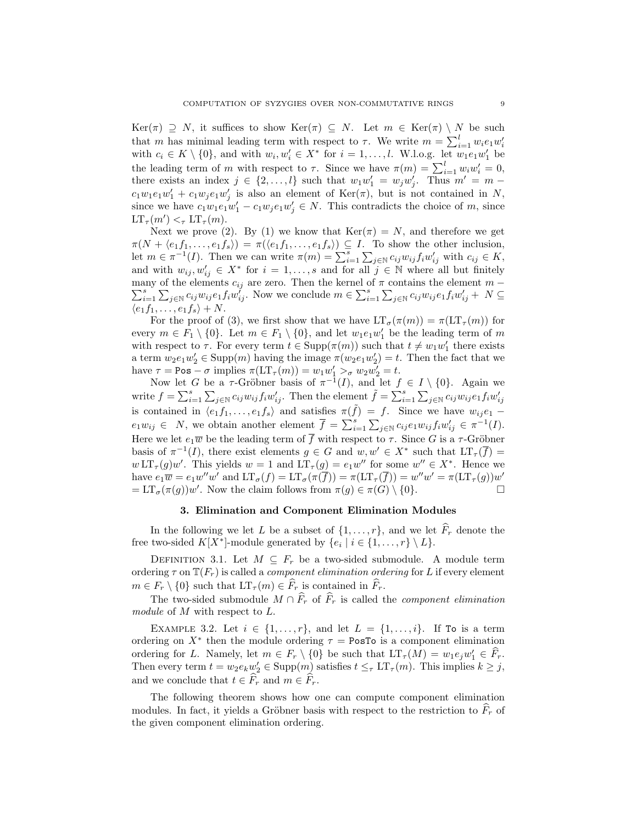$\text{Ker}(\pi) \supseteq N$ , it suffices to show  $\text{Ker}(\pi) \subseteq N$ . Let  $m \in \text{Ker}(\pi) \setminus N$  be such that m has minimal leading term with respect to  $\tau$ . We write  $m = \sum_{i=1}^{N} w_i e_1 w'_i$ with  $c_i \in K \setminus \{0\}$ , and with  $w_i, w'_i \in X^*$  for  $i = 1, \ldots, l$ . W.l.o.g. let  $w_1 e_1 w'_1$  be where  $t_i \in K \setminus \{0\}$ , and with  $w_i, w_i \in K$  for  $i = 1, ..., i$ . Whole is  $w_1t_1w_1$  be the leading term of m with respect to  $\tau$ . Since we have  $\pi(m) = \sum_{i=1}^l w_i w_i' = 0$ , there exists an index  $j \in \{2, ..., l\}$  such that  $w_1w'_1 = w_jw'_j$ . Thus  $m' = m$  $c_1w_1e_1w'_1+c_1w_je_1w'_j$  is also an element of  $\text{Ker}(\pi)$ , but is not contained in N, since we have  $c_1w_1e_1w'_1 - c_1w_je_1w'_j \in N$ . This contradicts the choice of m, since  $LT_{\tau}(m') <_{\tau} LT_{\tau}(m).$ 

Next we prove (2). By (1) we know that  $\text{Ker}(\pi) = N$ , and therefore we get  $\pi(N + \langle e_1f_1, \ldots, e_1f_s \rangle) = \pi(\langle e_1f_1, \ldots, e_1f_s \rangle) \subseteq I$ . To show the other inclusion,  $\pi(N + \langle e_1 j_1, \ldots, e_1 j_s \rangle) = \pi(\langle e_1 j_1, \ldots, e_1 j_s \rangle) \subseteq I$ <br>let  $m \in \pi^{-1}(I)$ . Then we can write  $\pi(m) = \sum_{i=1}^s$  $\frac{1}{\sqrt{2}}$  $j \in \mathbb{N}$   $c_{ij} w_{ij} f_i w'_{ij}$  with  $c_{ij} \in K$ , and with  $w_{ij}, w'_{ij} \in X^*$  for  $i = 1, \ldots, s$  and for all  $j \in \mathbb{N}$  where all but finitely many of the elements  $c_{ij}$  are zero. Then the kernel of  $\pi$  contains the element  $m - \sum_{i=1}^s \sum_{j \in \mathbb{N}} c_{ij} w_{ij} e_1 f_i w'_{ij}$ . Now we conclude  $m \in \sum_{i=1}^s \sum_{j \in \mathbb{N}} c_{ij} w_{ij} e_1 f_i w'_{ij} + N \subseteq$  $\frac{10}{10}$ the elements  $c_{ij}$  are zero. Then the kerner of  $j \in \mathbb{N}$   $c_{ij}w_{ij}e_1f_iw'_{ij}$ . Now we conclude  $m \in \sum_{i=1}^{s}$  $\overline{C}$  $j \in \mathbb{N}$   $c_{ij} w_{ij} e_1 f_i w'_{ij} + N \subseteq$  $\langle e_1f_1, \ldots, e_1f_s \rangle + N.$ 

For the proof of (3), we first show that we have  $LT_{\sigma}(\pi(m)) = \pi(LT_{\tau}(m))$  for every  $m \in F_1 \setminus \{0\}$ . Let  $m \in F_1 \setminus \{0\}$ , and let  $w_1 e_1 w'_1$  be the leading term of m with respect to  $\tau$ . For every term  $t \in \text{Supp}(\pi(m))$  such that  $t \neq w_1w'_1$  there exists a term  $w_2e_1w_2' \in \text{Supp}(m)$  having the image  $\pi(w_2e_1w_2') = t$ . Then the fact that we have  $\tau = \text{Pos} - \sigma$  implies  $\pi(\text{LT}_{\tau}(m)) = w_1 w_1' >_{\sigma} w_2 w_2' = t$ .

Now let G be a  $\tau$ -Gröbner basis of  $\pi^{-1}(I)$ , and let  $f \in I \setminus \{0\}$ . Again we write  $f = \sum_{i=1}^{s} \sum_{j \in \mathbb{N}} c_{ij} w_{ij} f_i w'_{ij}$ . Then the element  $\tilde{f} = \sum_{i=1}^{s} \sum_{j \in \mathbb{N}} c_{ij} w_{ij} e_1 f_i w'_{ij}$ is contained in  $\langle e_1 f_1, \ldots, e_1 f_s \rangle$  and satisfies  $\pi(\tilde{f}) = f$ . Since we have  $w_{ij} e_1$  $e_1w_{ij} \in N$ , we obtain another element  $\overline{f} = \sum_{i=1}^s \sum_{j \in \mathbb{N}} c_{ij} e_1 w_{ij} f_i w'_{ij} \in \pi^{-1}(I)$ . Here we let  $e_1\overline{w}$  be the leading term of  $\overline{f}$  with respect to  $\tau$ . Since G is a  $\tau$ -Gröbner basis of  $\pi^{-1}(I)$ , there exist elements  $g \in G$  and  $w, w' \in X^*$  such that  $LT_{\tau}(\overline{f}) =$  $w L T_{\tau}(g) w'$ . This yields  $w = 1$  and  $L T_{\tau}(g) = e_1 w''$  for some  $w'' \in X^*$ . Hence we have  $e_1\overline{w} = e_1w''w'$  and  $LT_{\sigma}(f) = LT_{\sigma}(\pi(\overline{f})) = \pi(LT_{\tau}(\overline{f})) = w''w' = \pi(LT_{\tau}(g))w'$  $= L\Gamma_{\sigma}(\pi(g))w'$ . Now the claim follows from  $\pi(g) \in \pi(G) \setminus \{0\}.$ 

### 3. Elimination and Component Elimination Modules

In the following we let L be a subset of  $\{1, \ldots, r\}$ , and we let  $\hat{F}_r$  denote the free two-sided  $K[X^*]$ -module generated by  $\{e_i \mid i \in \{1, ..., r\} \setminus L\}.$ 

DEFINITION 3.1. Let  $M \subseteq F_r$  be a two-sided submodule. A module term ordering  $\tau$  on  $\mathbb{T}(F_r)$  is called a *component elimination ordering* for L if every element  $m \in F_r \setminus \{0\}$  such that  $LT_\tau(m) \in \widehat{F}_r$  is contained in  $\widehat{F}_r$ .

The two-sided submodule  $M \cap \widehat{F}_r$  of  $\widehat{F}_r$  is called the *component elimination* module of M with respect to L.

EXAMPLE 3.2. Let  $i \in \{1, \ldots, r\}$ , and let  $L = \{1, \ldots, i\}$ . If To is a term ordering on  $X^*$  then the module ordering  $\tau =$  PosTo is a component elimination ordering for L. Namely, let  $m \in F_r \setminus \{0\}$  be such that  $LT_\tau(M) = w_1 e_j w_1' \in \widehat{F}_r$ . Then every term  $t = w_2 e_k w_2' \in \text{Supp}(m)$  satisfies  $t \leq_\tau \text{LT}_{\tau}(m)$ . This implies  $k \geq j$ , and we conclude that  $t \in \widehat{F}_r$  and  $m \in \widehat{F}_r$ .

The following theorem shows how one can compute component elimination modules. In fact, it yields a Gröbner basis with respect to the restriction to  $\overline{F}_r$  of the given component elimination ordering.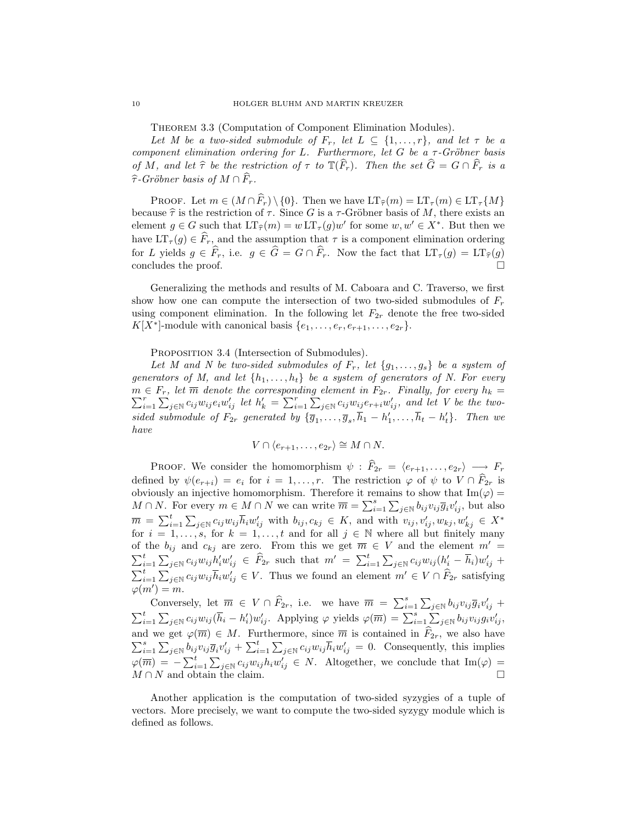THEOREM 3.3 (Computation of Component Elimination Modules).

Let M be a two-sided submodule of  $F_r$ , let  $L \subseteq \{1, \ldots, r\}$ , and let  $\tau$  be a component elimination ordering for L. Furthermore, let G be a  $\tau$ -Gröbner basis of M, and let  $\hat{\tau}$  be the restriction of  $\tau$  to  $\mathbb{T}(\widehat{F}_r)$ . Then the set  $\widehat{G} = G \cap \widehat{F}_r$  is a  $\widehat{\tau}$ -Gröbner basis of  $M \cap \widehat{F}_r$ .

PROOF. Let  $m \in (M \cap \widehat{F}_r) \setminus \{0\}$ . Then we have  $LT_{\widehat{\tau}} (m) = LT_{\tau} (m) \in LT_{\tau} \{M\}$ because  $\hat{\tau}$  is the restriction of  $\tau$ . Since G is a  $\tau$ -Gröbner basis of M, there exists an element  $g \in G$  such that  $LT_{\hat{\tau}}(m) = w LT_{\tau}(g)w'$  for some  $w, w' \in X^*$ . But then we have  $LT_{\tau}(g) \in \widehat{F}_r$ , and the assumption that  $\tau$  is a component elimination ordering for L yields  $g \in \widehat{F}_r$ , i.e.  $g \in \widehat{G} = G \cap \widehat{F}_r$ . Now the fact that  $LT_\tau(g) = LT_{\widehat{\tau}}(g)$ concludes the proof.  $\hfill \square$ 

Generalizing the methods and results of M. Caboara and C. Traverso, we first show how one can compute the intersection of two two-sided submodules of  $F_r$ using component elimination. In the following let  $F_{2r}$  denote the free two-sided  $K[X^*]$ -module with canonical basis  $\{e_1, \ldots, e_r, e_{r+1}, \ldots, e_{2r}\}.$ 

PROPOSITION 3.4 (Intersection of Submodules).

Let M and N be two-sided submodules of  $F_r$ , let  $\{g_1, \ldots, g_s\}$  be a system of generators of M, and let  $\{h_1, \ldots, h_t\}$  be a system of generators of N. For every  $m \in F_r$ , let  $\overline{m}$  denote the corresponding element in  $F_{2r}$ . Finally, for every  $h_k = \sum_{i=1}^r \sum_{j \in \mathbb{N}} c_{ij} w_{ij} e_i w'_{ij}$  let  $h'_k = \sum_{i=1}^r \sum_{j \in \mathbb{N}} c_{ij} w_{ij} e_{r+i} w'_{ij}$ , and let V be the two- $\stackrel{r}{\cdot}$ *i*en  $c_{ij}$ *w<sub>ij</sub>*e<sub>i</sub>*w*'<sub>ij</sub> let  $h'_{k} = \sum_{i=1}^{r}$  $\frac{y}{\sqrt{2}}$  $j \in \mathbb{N}$   $c_{ij}w_{ij}e_{r+i}w'_{ij}$ , and let V be the twosided submodule of  $F_{2r}$  generated by  $\{\overline{g}_1,\ldots,\overline{g}_s,\overline{h}_1 - h'_1,\ldots,\overline{h}_t - h'_t\}$ . Then we have

$$
V \cap \langle e_{r+1}, \dots, e_{2r} \rangle \cong M \cap N.
$$

PROOF. We consider the homomorphism  $\psi : \hat{F}_{2r} = \langle e_{r+1}, \ldots, e_{2r} \rangle \longrightarrow F_r$ defined by  $\psi(e_{r+i}) = e_i$  for  $i = 1, \ldots, r$ . The restriction  $\varphi$  of  $\psi$  to  $V \cap \widehat{F}_{2r}$  is obviously an injective homomorphism. Therefore it remains to show that  $\text{Im}(\varphi) = M \odot N$ . For event  $m \in M \odot N$  we see write  $\overline{m} \sum_{k=1}^{s} \sum_{k=1}^{s} h_{k} u_{k} \overline{a} u'_{k}$  but also  $M \cap N$ . For every  $m \in M \cap N$  we can write  $\overline{m} = \sum_{i=1}^{s} \sum_{j \in \mathbb{N}} b_{ij} v_{ij} \overline{g}_i v'_{ij}$ , but also  $\overline{m} = \sum_{i=1}^t$  $\overline{ }$  $j \in \mathbb{N} c_{ij} w_{ij} \overline{h}_i w'_{ij}$  with  $b_{ij}, c_{kj} \in K$ , and with  $v_{ij}, v'_{ij}, w_{kj}, w'_{kj} \in X^*$ for  $i = 1, \ldots, s$ , for  $k = 1, \ldots, t$  and for all  $j \in \mathbb{N}$  where all but finitely many of the  $b_{ij}$  and  $c_{kj}$  are zero. From this we get  $\overline{m} \in V$  and the element  $m' =$  $i=1$  $\tilde{\cdot}$  $j \in \mathbb{R}$   $c_{ij} w_{ij} h'_i w'_{ij} \in \widehat{F}_{2r}$  such that  $m' = \sum_{i=1}^{k}$  $i=1$  $\overline{ }$  $\sum_{j\in\mathbb{N}}c_{ij}w_{ij}h'_iw'_j \in \widehat{F}_{2r}$  such that  $m' = \sum_{i=1}^t\sum_{j\in\mathbb{N}}c_{ij}w_{ij}(h'_i - \overline{h}_i)w'_{ij} +$  $\sum_{\tau \in \mathcal{L}}^{n}$  $\sum_{i=1}^t \sum_{j \in \mathbb{N}} c_{ij} w_{ij} \overline{h}_i w'_{ij} \in V$ . Thus we found an element  $m' \in V \cap \widehat{F}_{2r}$  satisfying  $\varphi(m') = m$ .  $\overline{ }$ 

Conversely, let  $\overline{m} \in V \cap \widehat{F}_{2r}$ , i.e. we have  $\overline{m} = \sum_{i=1}^{s}$ onversely, let  $\overline{m} \in V \cap \widehat{F}_{2r}$ , i.e. we have  $\overline{m} = \sum_{i=1}^{s} \sum_{j \in \mathbb{N}} b_{ij} v_{ij} \overline{g}_i v'_{ij} + \sum_{j=1}^{s} \sum_{j=1}^{s} b_{ij} v_{ij} \overline{g}_j v'_{ij}$  $\sum_{i=1}^{t}$  $\sum_{i=1}^t \sum_{j\in\mathbb{N}} c_{ij} w_{ij} (\overline{h}_i - h'_i) w'_{ij}$ . Applying  $\varphi$  yields  $\varphi(\overline{m}) = \sum_{i=1}^s \sum_{j\in\mathbb{N}} b_{ij} v_{ij} g_i v'_{ij}$ and we get  $\varphi(\overline{m}) \in M$ . Furthermore, since  $\overline{m}$  is contained in  $\widehat{F}_{2r}$ , we also have  $\sum_{i=1}^s\sum_{j\in\mathbb{N}}b_{ij}v_{ij}\overline{g}_iv'_{ij} + \sum_{i=1}^t\sum_{j\in\mathbb{N}}c_{ij}w_{ij}\overline{h}_iw'_{ij} = 0$ . Consequently, this implies  $\mathcal{L} i=1 \; \mathcal{L} j \in \mathbb{N} \; ^{0ij} \ \mathcal{L} \{\overline{m}\} \; = \; -\sum_{i}^{t}$  $i=1$  $\overset{9}{\phantom{.}}{}^{i}$  $j \in \mathbb{N}$  c<sub>ij</sub>w<sub>ij</sub>h<sub>i</sub>w'<sub>ij</sub> ∈ N. Altogether, we conclude that Im( $\varphi$ ) =  $M \cap N$  and obtain the claim.

Another application is the computation of two-sided syzygies of a tuple of vectors. More precisely, we want to compute the two-sided syzygy module which is defined as follows.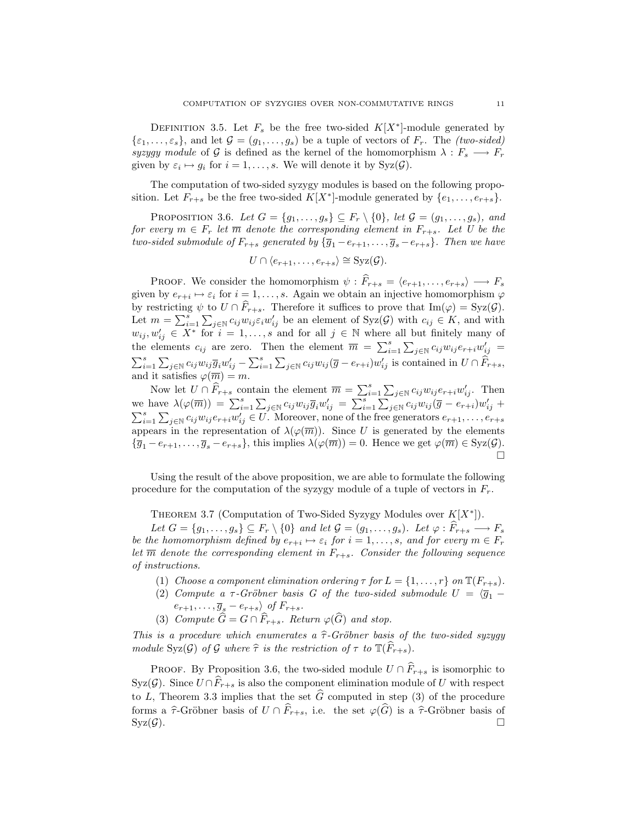DEFINITION 3.5. Let  $F_s$  be the free two-sided  $K[X^*]$ -module generated by  $\{\varepsilon_1,\ldots,\varepsilon_s\}$ , and let  $\mathcal{G} = (g_1,\ldots,g_s)$  be a tuple of vectors of  $F_r$ . The *(two-sided)* syzygy module of G is defined as the kernel of the homomorphism  $\lambda: F_s \longrightarrow F_r$ given by  $\varepsilon_i \mapsto g_i$  for  $i = 1, ..., s$ . We will denote it by Syz $(\mathcal{G})$ .

The computation of two-sided syzygy modules is based on the following proposition. Let  $F_{r+s}$  be the free two-sided  $K[X^*]$ -module generated by  $\{e_1, \ldots, e_{r+s}\}.$ 

PROPOSITION 3.6. Let  $G = \{g_1, \ldots, g_s\} \subseteq F_r \setminus \{0\}$ , let  $\mathcal{G} = (g_1, \ldots, g_s)$ , and for every  $m \in F_r$  let  $\overline{m}$  denote the corresponding element in  $F_{r+s}$ . Let U be the two-sided submodule of  $F_{r+s}$  generated by  ${\overline{g_1 - e_{r+1}, \ldots, \overline{g}_s - e_{r+s}}}$ . Then we have

$$
U \cap \langle e_{r+1}, \ldots, e_{r+s} \rangle \cong \mathrm{Syz}(\mathcal{G}).
$$

PROOF. We consider the homomorphism  $\psi : \widehat{F}_{r+s} = \langle e_{r+1}, \ldots, e_{r+s} \rangle \longrightarrow F_s$ given by  $e_{r+i} \mapsto \varepsilon_i$  for  $i = 1, \ldots, s$ . Again we obtain an injective homomorphism  $\varphi$ by restricting  $\psi$  to  $U \cap \widehat{F}_{r+s}$ . Therefore it suffices to prove that  $\text{Im}(\varphi) = \text{Syz}(\mathcal{G})$ . by restricting  $\psi$  to  $U \cap r_{r+s}$ . Therefore it sumess to prove that  $\text{Im}(\varphi) = \text{Syz}(\varphi)$ .<br>Let  $m = \sum_{i=1}^{s} \sum_{j \in \mathbb{N}} c_{ij} w_{ij} \varepsilon_i w'_{ij}$  be an element of  $\text{Syz}(\mathcal{G})$  with  $c_{ij} \in K$ , and with  $w_{ij}, w'_{ij} \in X^*$  for  $i = 1, ..., s$  and for all  $j \in \mathbb{N}$  where all but finitely many of the elements  $c_{ij}$  are zero. Then the element  $\overline{m} = \sum_{i=1}^{s} \sum_{j \in \mathbb{N}} c_{ij} w_{ij} e_{r+i} w'_{ij} =$  $i=1$  $\overline{ }$  $\sum_{j\in \mathbb{N}} c_{ij}w_{ij}\overline{g}_iw'_{ij} - \sum_{i=1}^s$  $\overline{\phantom{a}}$  $j \in \mathbb{N} c_{ij} w_{ij} (\overline{g} - e_{r+i}) w'_{ij}$  is contained in  $U \cap \widehat{F}_{r+s}$ , and it satisfies  $\varphi(\overline{m}) = m$ .  $\overline{ }$ 

Now let  $U \cap \hat{F}_{r+s}$  contain the element  $\overline{m} = \sum_{i=1}^{s}$ Now let  $U \cap \widehat{F}_{r+s}$  contain the element  $\overline{m} = \sum_{i=1}^{s} \sum_{j \in \mathbb{N}} c_{ij} w_{ij} e_{r+i} w'_{ij}$ . Then<br>we have  $\lambda(\varphi(\overline{m})) = \sum_{i=1}^{s} \sum_{j \in \mathbb{N}} c_{ij} w_{ij} \overline{g}_i w'_{ij} = \sum_{i=1}^{s} \sum_{j \in \mathbb{N}} c_{ij} w_{ij} (\overline{g} - e_{r+i}) w'_{ij}$  +  $\overset{an}{\rightharpoondown}$  $\sum_{j \in \mathbb{N}} c_{ij} w_{ij} \overline{g}_i w'_{ij} = \sum_{i=1}^s$  $i=1$  $\frac{1}{\sqrt{ }}$ we have  $\lambda(\varphi(\overline{m})) = \sum_{i=1}^{s} \sum_{j \in \mathbb{N}} c_{ij} w_{ij} \overline{g}_i w'_{ij} = \sum_{i=1}^{s} \sum_{j \in \mathbb{N}} c_{ij} w_{ij} (\overline{g} - e_{r+i}) w'_{ij} +$  $i=1$  $\overline{\mathbf{C}}$  $j \in \mathbb{N}$   $c_{ij}w_{ij}e_{r+i}w'_{ij} \in U$ . Moreover, none of the free generators  $e_{r+1}, \ldots, e_{r+s}$ appears in the representation of  $\lambda(\varphi(\overline{m}))$ . Since U is generated by the elements  ${\overline{g_1} - e_{r+1}, \ldots, \overline{g}_s - e_{r+s}}$ , this implies  $\lambda(\varphi(\overline{m})) = 0$ . Hence we get  $\varphi(\overline{m}) \in Syz(\mathcal{G})$ . ¤

Using the result of the above proposition, we are able to formulate the following procedure for the computation of the syzygy module of a tuple of vectors in  $F_r$ .

THEOREM 3.7 (Computation of Two-Sided Syzygy Modules over  $K[X^*]$ ).

Let  $G = \{g_1, \ldots, g_s\} \subseteq F_r \setminus \{0\}$  and let  $\mathcal{G} = (g_1, \ldots, g_s)$ . Let  $\varphi : F_{r+s} \longrightarrow F_s$ be the homomorphism defined by  $e_{r+i} \mapsto \varepsilon_i$  for  $i = 1, \ldots, s$ , and for every  $m \in F_r$ let  $\overline{m}$  denote the corresponding element in  $F_{r+s}$ . Consider the following sequence of instructions.

- (1) Choose a component elimination ordering  $\tau$  for  $L = \{1, \ldots, r\}$  on  $\mathbb{T}(F_{r+s})$ .
- (2) Compute a  $\tau$ -Gröbner basis G of the two-sided submodule  $U = \langle \overline{g}_1$  $e_{r+1}, \ldots, \overline{g}_s - e_{r+s}$  of  $F_{r+s}$ .
- (3) Compute  $\widehat{G} = G \cap \widehat{F}_{r+s}$ . Return  $\varphi(\widehat{G})$  and stop.

This is a procedure which enumerates a  $\hat{\tau}$ -Gröbner basis of the two-sided syzygy module Syz(G) of G where  $\hat{\tau}$  is the restriction of  $\tau$  to  $\mathbb{T}(F_{r+s})$ .

PROOF. By Proposition 3.6, the two-sided module  $U \cap \widehat{F}_{r+s}$  is isomorphic to  $Syz(\mathcal{G})$ . Since  $U \cap \overline{F}_{r+s}$  is also the component elimination module of U with respect to L, Theorem 3.3 implies that the set  $\hat{G}$  computed in step (3) of the procedure forms a  $\hat{\tau}$ -Gröbner basis of  $U \cap \hat{F}_{r+s}$ , i.e. the set  $\varphi(\hat{G})$  is a  $\hat{\tau}$ -Gröbner basis of  $Syz(\mathcal{G})$ .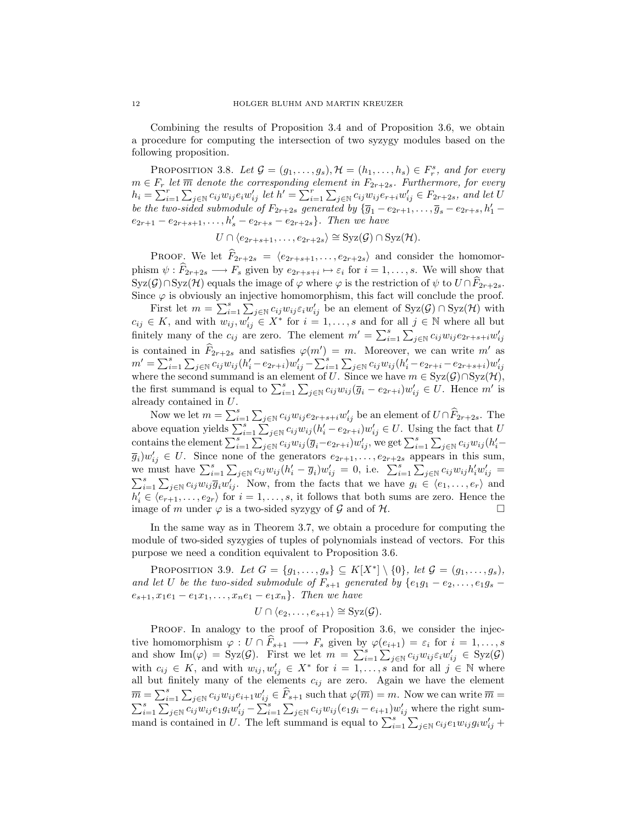Combining the results of Proposition 3.4 and of Proposition 3.6, we obtain a procedure for computing the intersection of two syzygy modules based on the following proposition.

PROPOSITION 3.8. Let  $\mathcal{G} = (g_1, \ldots, g_s)$ ,  $\mathcal{H} = (h_1, \ldots, h_s) \in F_r^s$ , and for every  $m \in F_r$  let  $\overline{m}$  denote the corresponding element in  $F_{2r+2s}$ . Furthermore, for every  $h_i = \sum_{i=1}^r \sum_{j \in \mathbb{N}} c_{ij} w_{ij} e_i w'_{ij}$  let  $h' = \sum_{i=1}^r \sum_{j \in \mathbb{N}} c_{ij} w_{ij} e_{r+i} w'_{ij} \in F_{2r+2s}$ , and let U be the two-sided submodule of  $F_{2r+2s}$  generated by  $\{\overline{g}_1 - e_{2r+1}, \ldots, \overline{g}_s - e_{2r+s}, h_1'$  $e_{2r+1} - e_{2r+s+1}, \ldots, h_s' - e_{2r+s} - e_{2r+2s}$ . Then we have

 $U \cap \langle e_{2r+s+1}, \ldots, e_{2r+2s} \rangle \cong \mathrm{Syz}(\mathcal{G}) \cap \mathrm{Syz}(\mathcal{H}).$ 

PROOF. We let  $\widehat{F}_{2r+2s} = \langle e_{2r+s+1}, \ldots, e_{2r+2s} \rangle$  and consider the homomorphism  $\psi : \widehat{F}_{2r+2s} \longrightarrow F_s$  given by  $e_{2r+s+i} \mapsto \varepsilon_i$  for  $i=1,\ldots,s$ . We will show that  $Syz(\mathcal{G}) \cap Syz(\mathcal{H})$  equals the image of  $\varphi$  where  $\varphi$  is the restriction of  $\psi$  to  $U \cap \widehat{F}_{2r+2s}$ . Since  $\varphi$  is obviously an injective homomorphism, this fact will conclude the proof.<br>First let  $w = \sum_{n=1}^{s} \sum_{n=1}^{s} w_n z_n w_n'$  be so almost of  $S_{\text{rec}}(2) \cap S_{\text{rec}}(1)$  with

First let  $m = \sum_{i=1}^s \sum_{j \in \mathbb{N}} c_{ij} w_{ij} \varepsilon_i w'_{ij}$  be an element of  $Syz(\mathcal{G}) \cap Syz(\mathcal{H})$  with  $c_{ij} \in K$ , and with  $w_{ij}, w'_{ij} \in X^*$  for  $i = 1, ..., s$  and for all  $j \in \mathbb{N}$  where all but finitely many of the  $c_{ij}$  are zero. The element  $m' = \sum_{i=1}^{s} \sum_{j \in \mathbb{N}} c_{ij} w_{ij} e_{2r+s+i} w'_{ij}$ is contained in  $\widehat{F}_{2r+2s}$  and satisfies  $\varphi(m') = m$ . Moreover, we can write m' as is contained in  $r_{2r+2s}$  and satisfies  $\varphi(m) = m$ . Moreover, we can write m as<br>  $m' = \sum_{i=1}^{s} \sum_{j \in \mathbb{N}} c_{ij} w_{ij} (h'_i - e_{2r+i}) w'_{ij} - \sum_{i=1}^{s} \sum_{j \in \mathbb{N}} c_{ij} w_{ij} (h'_i - e_{2r+i} - e_{2r+s+i}) w'_{ij}$ <br>
where the second summand is an e where the second summand is an element of U. Since we have  $m \in \text{Syz}(\mathcal{G}) \cap \text{Syz}(\mathcal{H})$ ,<br>the first summand is equal to  $\sum_{i=1}^{s} \sum_{j \in \mathbb{N}} c_{ij} w_{ij} (\overline{g}_i - e_{2r+i}) w'_{ij} \in U$ . Hence m' is already contained in U.  $\overline{ }$ 

Now we let  $m = \sum_{i=1}^{s}$  $\sum_{j\in\mathbb{N}} c_{ij}w_{ij}e_{2r+s+i}w'_{ij}$  be an element of  $U\cap \widehat{F}_{2r+2s}$ . The Now we let  $m = \sum_{i=1}^s \sum_{j \in \mathbb{N}} c_{ij} w_{ij} c_{2r+s+i} w_{ij}$  be an element of  $\sigma + r_{2r+2s}$ . The<br>above equation yields  $\sum_{i=1}^s \sum_{j \in \mathbb{N}} c_{ij} w_{ij} (h'_i - e_{2r+i}) w'_{ij} \in U$ . Using the fact that U above equation yields  $\sum_{i=1}^s \sum_{j \in \mathbb{N}} c_{ij} w_{ij} (h_i - e_{2r+i}) w_{ij} \in C$ . Using the fact that  $C$  contains the element  $\sum_{i=1}^s \sum_{j \in \mathbb{N}} c_{ij} w_{ij} (\bar{g}_i - e_{2r+i}) w_{ij}$ , we get  $\sum_{i=1}^s \sum_{j \in \mathbb{N}} c_{ij} w_{ij} (h_i - h_i)$  $\overline{g}_i$ ) $w'_{ij} \in U$ . Since none of the generators  $e_{2r+1}, \ldots, e_{2r+2s}$  appears in this sum,  $y_i$ ,  $w_{ij} \in U$ . Since none of the generators  $e_{2r+1}, \ldots, e_{2r+2s}$  appears in this sum,<br>we must have  $\sum_{i=1}^s \sum_{j \in \mathbb{N}} c_{ij} w_{ij} (h'_i - \overline{g}_i) w'_{ij} = 0$ , i.e.  $\sum_{i=1}^s \sum_{j \in \mathbb{N}} c_{ij} w_{ij} h'_i w'_{ij} =$ <br> $\sum_{i=1}^s \sum_{j \in \mathbb$  $\sum_{i=1}^s \sum_{j\in\mathbb{N}} c_{ij} w_{ij} \overline{g}_i w'_{ij}$ . Now, from the facts that we have  $g_i \in \langle e_1, \ldots, e_r \rangle$  and  $h'_i \in \langle e_{r+1}, \ldots, e_{2r} \rangle$  for  $i = 1, \ldots, s$ , it follows that both sums are zero. Hence the image of m under  $\varphi$  is a two-sided syzygy of G and of H.

In the same way as in Theorem 3.7, we obtain a procedure for computing the module of two-sided syzygies of tuples of polynomials instead of vectors. For this purpose we need a condition equivalent to Proposition 3.6.

PROPOSITION 3.9. Let  $G = \{g_1, \ldots, g_s\} \subseteq K[X^*] \setminus \{0\}$ , let  $\mathcal{G} = (g_1, \ldots, g_s)$ , and let U be the two-sided submodule of  $F_{s+1}$  generated by  $\{e_1g_1 - e_2, \ldots, e_1g_s$  $e_{s+1}, x_1e_1 - e_1x_1, \ldots, x_ne_1 - e_1x_n$ . Then we have

$$
U \cap \langle e_2, \ldots, e_{s+1} \rangle \cong \mathrm{Syz}(\mathcal{G}).
$$

PROOF. In analogy to the proof of Proposition 3.6, we consider the injective homomorphism  $\varphi: U \cap \widehat{F}_{s+1} \longrightarrow F_s$  given by  $\varphi(e_{i+1}) = \varepsilon_i$  for  $i = 1, \ldots, s$ and show  $\text{Im}(\varphi) = \text{Syz}(\mathcal{G})$ . First we let  $m = \sum_{i=1}^{8}$  $i=1$  $\stackrel{e_i}{\equiv}$  $j \in \mathbb{N}$   $c_{ij} w_{ij} \varepsilon_i w'_{ij} \in \text{Syz}(\mathcal{G})$ with  $c_{ij} \in K$ , and with  $w_{ij}, w'_{ij} \in X^*$  for  $i = 1, \ldots, s$  and for all  $j \in \mathbb{N}$  where all but finitely many of the elements  $c_{ij}$  are zero. Again we have the element  $\overline{m} = \sum_{i=1}^{s} \sum_{j \in \mathbb{N}} c_{ij} w_{ij} e_{i+1} w'_{ij} \in \widehat{F}_{s+1}$  such that  $\varphi(\overline{m}) = m$ . Now we can write  $\overline{m} =$  $i=1$  $\frac{2}{\sqrt{2}}$  $\begin{array}{l} \scriptstyle i=1 \sum_{j\in \mathbb{N}} c_{ij}w_{ij}e_{i+1}w_{ij} \in \ \scriptstyle j \in \mathbb{N}} \ c_{ij}w_{ij}e_{1}g_{i}w'_{ij} - \sum_{i=1}^{s} \end{array}$  $\overline{\phantom{a}}^s$  $\sum_{i=1}^{s} \sum_{j \in \mathbb{N}} c_{ij} w_{ij} e_1 g_i w'_{ij} - \sum_{i=1}^{s} \sum_{j \in \mathbb{N}} c_{ij} w_{ij} (e_1 g_i - e_{i+1}) w'_{ij}$  where the right summand is contained in U. The left summand is equal to  $\sum_{i=1}^{s} \sum_{j \in \mathbb{N}} c_{ij} e_1 w_{ij} g_i w'_{ij}$  +  $\overline{ }$  $j \in \mathbb{N}$   $c_{ij}e_1w_{ij}g_iw'_{ij} +$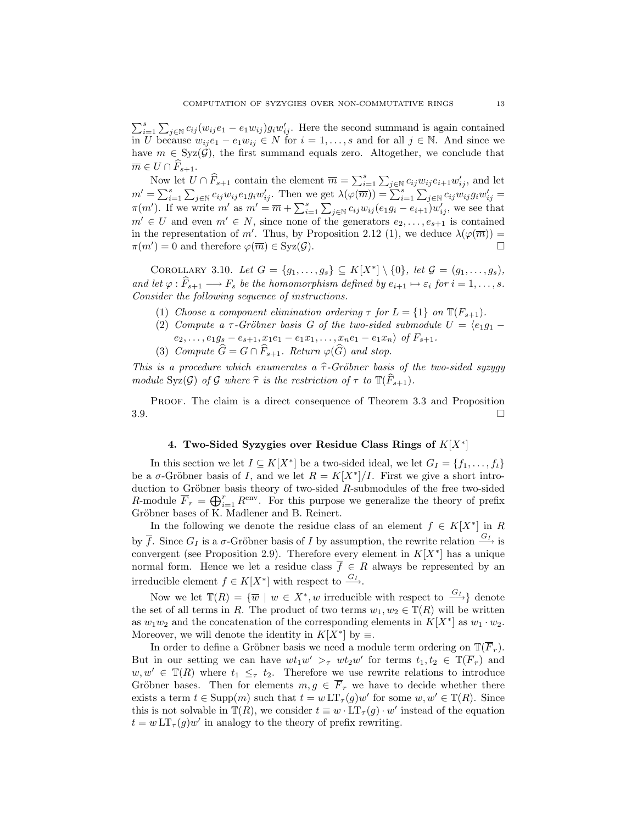$\overline{\nabla^s}$  $i=1$  $\overline{ }$  $j \in \mathbb{N}$   $c_{ij}(w_{ij}e_1 - e_1w_{ij})g_iw'_{ij}$ . Here the second summand is again contained in U because  $w_{ij}e_1 - e_1w_{ij} \in N$  for  $i = 1, \ldots, s$  and for all  $j \in \mathbb{N}$ . And since we have  $m \in Syz(\mathcal{G})$ , the first summand equals zero. Altogether, we conclude that  $\overline{m} \in U \cap \widehat{F}_{s+1}.$  $\overline{ }$ 

Now let  $U \cap \widehat{F}_{s+1}$  contain the element  $\overline{m} = \sum_{i=1}^{s}$  $i_{j\in\mathbb{N}}$   $c_{ij}w_{ij}e_{i+1}w'_{ij}$ , and let  $m' = \sum_{i=1}^{N}$  $i=1$  $\overline{\phantom{a}}$  $j \in \mathbb{N}$   $c_{ij} w_{ij} e_1 g_i w'_{ij}$ . Then we get  $\lambda(\varphi(\overline{m})) = \sum_{i=1}^{s} \sum_{j \in \mathbb{N}} c_i$  $\stackrel{w_i}{\rightharpoonup}$  $\sum_{i=1}^s \sum_{j\in\mathbb{N}} c_{ij} w_{ij} g_i w'_{ij} =$ <br> $\sum_{i=1}^s \sum_{j\in\mathbb{N}} c_{ij} w_{ij} g_i w'_{ij} =$  $\pi(m')$ . If we write  $m'$  as  $m' = \overline{m} + \sum_{i=1}^s \sum_{j \in \mathbb{N}} c_{ij} w_{ij} (e_1 g_i - e_{i+1}) w'_{ij}$ , we see that  $m' \in U$  and even  $m' \in N$ , since none of the generators  $e_2, \ldots, e_{s+1}$  is contained in the representation of m'. Thus, by Proposition 2.12 (1), we deduce  $\lambda(\varphi(\overline{m})) =$  $\pi(m') = 0$  and therefore  $\varphi(\overline{m}) \in Syz(\mathcal{G}).$ 

COROLLARY 3.10. Let  $G = \{g_1, \ldots, g_s\} \subseteq K[X^*] \setminus \{0\}$ , let  $\mathcal{G} = (g_1, \ldots, g_s)$ , and let  $\varphi : \widehat{F}_{s+1} \longrightarrow F_s$  be the homomorphism defined by  $e_{i+1} \mapsto \varepsilon_i$  for  $i = 1, \ldots, s$ . Consider the following sequence of instructions.

- (1) Choose a component elimination ordering  $\tau$  for  $L = \{1\}$  on  $\mathbb{T}(F_{s+1})$ .
- (2) Compute a  $\tau$ -Gröbner basis G of the two-sided submodule  $U = \langle e_1 g_1$  $e_2, \ldots, e_1 g_s - e_{s+1}, x_1 e_1 - e_1 x_1, \ldots, x_n e_1 - e_1 x_n$  of  $F_{s+1}$ .
- (3) Compute  $\widehat{G} = G \cap \widehat{F}_{s+1}$ . Return  $\varphi(\widehat{G})$  and stop.

This is a procedure which enumerates a  $\hat{\tau}$ -Gröbner basis of the two-sided syzygy module Syz(G) of G where  $\hat{\tau}$  is the restriction of  $\tau$  to  $\mathbb{T}(\hat{F}_{s+1})$ .

Proof. The claim is a direct consequence of Theorem 3.3 and Proposition  $3.9.$ 

## 4. Two-Sided Syzygies over Residue Class Rings of  $K[X^*]$

In this section we let  $I \subseteq K[X^*]$  be a two-sided ideal, we let  $G_I = \{f_1, \ldots, f_t\}$ be a  $\sigma$ -Gröbner basis of I, and we let  $R = K[X^*]/I$ . First we give a short introduction to Gröbner basis theory of two-sided  $R$ -submodules of the free two-sided duction to Grobner basis theory of two-sided *R*-submodules of the free two-sided *R*-module  $\overline{F}_r = \bigoplus_{i=1}^r R^{\text{env}}$ . For this purpose we generalize the theory of prefix Gröbner bases of K. Madlener and B. Reinert.

In the following we denote the residue class of an element  $f \in K[X^*]$  in R by  $\overline{f}$ . Since  $G_I$  is a  $\sigma$ -Gröbner basis of I by assumption, the rewrite relation  $\frac{G_I}{\sigma}$  is convergent (see Proposition 2.9). Therefore every element in  $K[X^*]$  has a unique normal form. Hence we let a residue class  $\overline{f} \in R$  always be represented by an irreducible element  $f \in K[X^*]$  with respect to  $\frac{G_I}{\longrightarrow}$ .

Now we let  $\mathbb{T}(R) = \{ \overline{w} \mid w \in X^*, w \text{ irreducible with respect to } \frac{G_I}{\longrightarrow} \}$  denote the set of all terms in R. The product of two terms  $w_1, w_2 \in \mathbb{T}(R)$  will be written as  $w_1w_2$  and the concatenation of the corresponding elements in  $K[X^*]$  as  $w_1 \cdot w_2$ . Moreover, we will denote the identity in  $K[X^*]$  by  $\equiv$ .

In order to define a Gröbner basis we need a module term ordering on  $\mathbb{T}(\overline{F}_r)$ . But in our setting we can have  $wt_1w' >_\tau wt_2w'$  for terms  $t_1, t_2 \in \mathbb{T}(\overline{F}_r)$  and  $w, w' \in \mathbb{T}(R)$  where  $t_1 \leq_\tau t_2$ . Therefore we use rewrite relations to introduce Gröbner bases. Then for elements  $m, g \in \overline{F}_r$  we have to decide whether there exists a term  $t \in \text{Supp}(m)$  such that  $t = w \mathop{\rm LT}\nolimits_\tau(g)w'$  for some  $w, w' \in \mathbb{T}(R)$ . Since this is not solvable in  $\mathbb{T}(R)$ , we consider  $t \equiv w \cdot \mathop{\rm LT}\nolimits_\tau(g) \cdot w'$  instead of the equation  $t = w \, \mathrm{LT}_{\tau}(g) w'$  in analogy to the theory of prefix rewriting.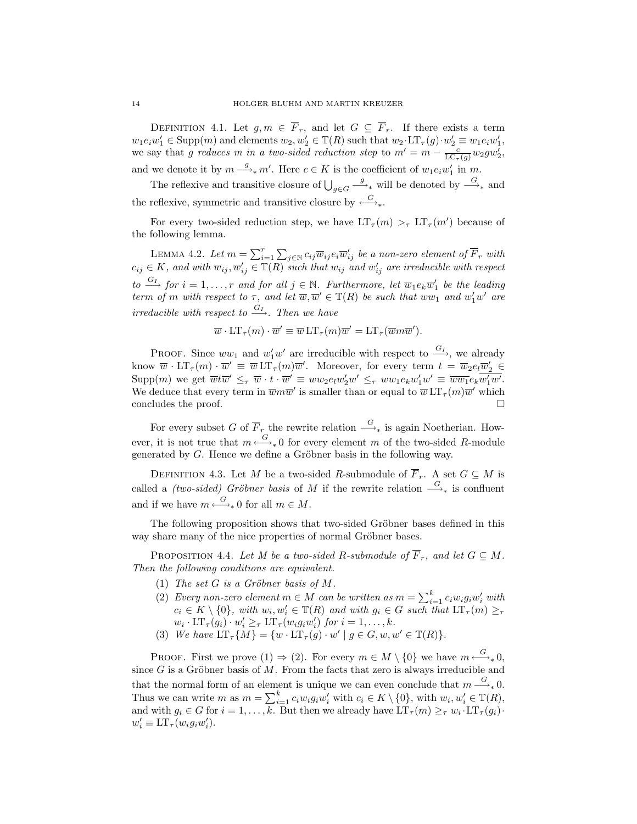DEFINITION 4.1. Let  $g, m \in \overline{F}_r$ , and let  $G \subseteq \overline{F}_r$ . If there exists a term  $w_1e_iw'_1 \in \text{Supp}(m)$  and elements  $w_2, w'_2 \in \mathbb{T}(R)$  such that  $w_2 \cdot LT_{\tau}(g) \cdot w'_2 \equiv w_1e_iw'_1$ , we say that g reduces m in a two-sided reduction step to  $m' = m - \frac{c}{LC_{\tau}(g)}w_2gw_2^{\tau}$ , and we denote it by  $m \stackrel{g}{\longrightarrow} m'$ . Here  $c \in K$  is the coefficient of  $w_1 e_i w'_1$  in m.

The reflexive and transitive closure of  $\bigcup_{g \in G}$  $\stackrel{g}{\longrightarrow}$  will be denoted by  $\stackrel{G}{\longrightarrow}{}_*$  and

the reflexive, symmetric and transitive closure by  $\stackrel{G}{\longleftrightarrow}_*.$ 

For every two-sided reduction step, we have  $LT_{\tau}(m) >_{\tau} LT_{\tau}(m')$  because of the following lemma.

LEMMA 4.2. Let  $m = \sum_i^r$  $i=1$  $\overline{ }$  $\widetilde{c}_{ij}\overline{w}_{ij}e_{i}\overline{w}_{ij}'$  be a non-zero element of  $\overline{F}_{r}$  with  $c_{ij} \in K$ , and with  $\overline{w}_{ij}, \overline{w}'_{ij} \in \mathbb{T}(R)$  such that  $w_{ij}$  and  $w'_{ij}$  are irreducible with respect to  $\stackrel{G_1}{\longrightarrow}$  for  $i = 1, \ldots, r$  and for all  $j \in \mathbb{N}$ . Furthermore, let  $\overline{w}_1 e_k \overline{w}'_1$  be the leading term of m with respect to  $\tau$ , and let  $\overline{w}, \overline{w}' \in \mathbb{T}(R)$  be such that  $ww_1$  and  $w'_1w'$  are irreducible with respect to  $\stackrel{G_I}{\longrightarrow}$ . Then we have

$$
\overline{w} \cdot \mathop{\rm LT}\nolimits_{\tau}(m) \cdot \overline{w}' \equiv \overline{w} \mathop{\rm LT}\nolimits_{\tau}(m) \overline{w}' = \mathop{\rm LT}\nolimits_{\tau}(\overline{w} m \overline{w}').
$$

**PROOF.** Since  $ww_1$  and  $w'_1w'$  are irreducible with respect to  $\overset{G_I}{\longrightarrow}$ , we already know  $\overline{w} \cdot \mathop{\rm LT}\nolimits_{\tau}(m) \cdot \overline{w}' \equiv \overline{w} \mathop{\rm LT}\nolimits_{\tau}(m) \overline{w}'$ . Moreover, for every term  $t = \overline{w}_2 e_l \overline{w}'_2 \in$  $\text{Supp}(m)$  we get  $\overline{wt}\overline{w}' \leq_{\tau} \overline{w} \cdot t \cdot \overline{w}' \equiv ww_2e_lw_2'w' \leq_{\tau} ww_1e_kw_1'w' \equiv \overline{ww_1}e_k\overline{w_1'w'}.$ We deduce that every term in  $\overline{w}m\overline{w}'$  is smaller than or equal to  $\overline{w}\,\mathrm{LT}_{\tau}(m)\overline{w}'$  which concludes the proof.

For every subset G of  $\overline{F}_r$  the rewrite relation  $\stackrel{G}{\longrightarrow}$ <sup>\*</sup>\* is again Noetherian. However, it is not true that  $m \stackrel{G}{\longleftrightarrow}_* 0$  for every element m of the two-sided R-module generated by  $G$ . Hence we define a Gröbner basis in the following way.

DEFINITION 4.3. Let M be a two-sided R-submodule of  $\overline{F}_r$ . A set  $G \subseteq M$  is called a *(two-sided)* Gröbner basis of M if the rewrite relation  $\stackrel{G}{\longrightarrow}$ <sup>\*</sup>\* is confluent and if we have  $m \stackrel{G}{\longleftrightarrow} 0$  for all  $m \in M$ .

The following proposition shows that two-sided Gröbner bases defined in this way share many of the nice properties of normal Gröbner bases.

PROPOSITION 4.4. Let M be a two-sided R-submodule of  $\overline{F}_r$ , and let  $G \subseteq M$ . Then the following conditions are equivalent.

- (1) The set G is a Gröbner basis of M.
- (2) Every non-zero element  $m \in M$  can be written as  $m = \sum_{i=1}^{k} c_i w_i g_i w'_i$  with  $c_i \in K \setminus \{0\}$ , with  $w_i, w'_i \in \mathbb{T}(R)$  and with  $g_i \in G$  such that  $\mathop{\rm LT}\nolimits_{\tau}(m) \geq_{\tau}$  $w_i \cdot \mathop{\rm LT}\nolimits_\tau(g_i) \cdot w_i' \geq_\tau \mathop{\rm LT}\nolimits_\tau(w_ig_iw_i')$  for  $i = 1, \ldots, k$ .
- (3) We have  $LT_{\tau}{M} = \{w \cdot LT_{\tau}(g) \cdot w' \mid g \in G, w, w' \in \mathbb{T}(R)\}.$

PROOF. First we prove  $(1) \Rightarrow (2)$ . For every  $m \in M \setminus \{0\}$  we have  $m \stackrel{G}{\longleftrightarrow}_{*} 0$ , since  $G$  is a Gröbner basis of  $M$ . From the facts that zero is always irreducible and that the normal form of an element is unique we can even conclude that  $m \stackrel{G}{\longrightarrow} 0$ . Thus we can write m as  $m = \sum_{i=1}^{k} c_i w_i g_i w'_i$  with  $c_i \in K \setminus \{0\}$ , with  $w_i, w'_i \in \mathbb{T}(R)$ , and with  $g_i \in G$  for  $i = 1, ..., k$ . But then we already have  $LT_{\tau}(m) \geq_{\tau} w_i \cdot LT_{\tau}(g_i) \cdot$  $w'_i \equiv \mathop{\rm LT}\nolimits_\tau(w_ig_iw'_i).$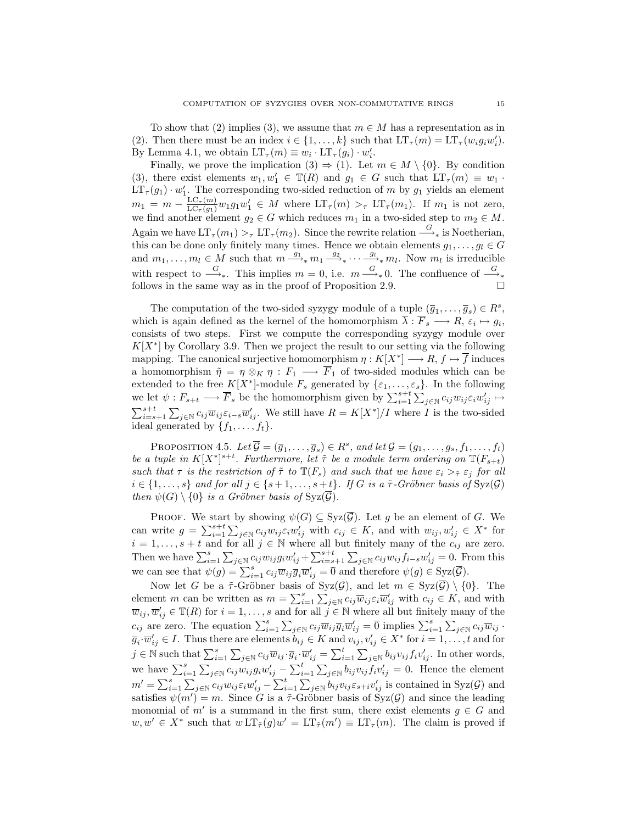To show that (2) implies (3), we assume that  $m \in M$  has a representation as in (2). Then there must be an index  $i \in \{1, ..., k\}$  such that  $LT_{\tau}(m) = LT_{\tau}(w_i g_i w'_i)$ . By Lemma 4.1, we obtain  $LT_{\tau}(m) \equiv w_i \cdot LT_{\tau}(g_i) \cdot w'_i$ .

Finally, we prove the implication  $(3) \Rightarrow (1)$ . Let  $m \in M \setminus \{0\}$ . By condition (3), there exist elements  $w_1, w'_1 \in \mathbb{T}(R)$  and  $g_1 \in G$  such that  $LT_\tau(m) \equiv w_1$ .  $LT_{\tau}(g_1) \cdot w'_1$ . The corresponding two-sided reduction of m by  $g_1$  yields an element  $m_1 = m - \frac{\text{LC}_{\tau}(m)}{\text{LC}_{\tau}(g_1)} w_1 g_1 w_1' \in M$  where  $\text{LT}_{\tau}(m) >_{\tau} \text{LT}_{\tau}(m_1)$ . If  $m_1$  is not zero, we find another element  $g_2 \in G$  which reduces  $m_1$  in a two-sided step to  $m_2 \in M$ . Again we have  $LT_{\tau}(m_1) >_{\tau} LT_{\tau}(m_2)$ . Since the rewrite relation  $\stackrel{G}{\longrightarrow}$  is Noetherian, this can be done only finitely many times. Hence we obtain elements  $g_1, \ldots, g_l \in G$ and  $m_1, \ldots, m_l \in M$  such that  $m \stackrel{g_1}{\longrightarrow} m_1 \stackrel{g_2}{\longrightarrow} \cdots \stackrel{g_l}{\longrightarrow} m_l$ . Now  $m_l$  is irreducible with respect to  $\stackrel{G}{\longrightarrow}$ \*. This implies  $m=0$ , i.e.  $m\stackrel{G}{\longrightarrow}$ \*0. The confluence of  $\stackrel{G}{\longrightarrow}$ \* follows in the same way as in the proof of Proposition 2.9.

The computation of the two-sided syzygy module of a tuple  $(\overline{g}_1, \ldots, \overline{g}_s) \in R^s$ , which is again defined as the kernel of the homomorphism  $\overline{\lambda} : \overline{F}_s \longrightarrow R$ ,  $\varepsilon_i \mapsto g_i$ , consists of two steps. First we compute the corresponding syzygy module over  $K[X^*]$  by Corollary 3.9. Then we project the result to our setting via the following mapping. The canonical surjective homomorphism  $\eta: K[X^*] \longrightarrow R, f \mapsto \overline{f}$  induces a homomorphism  $\tilde{\eta} = \eta \otimes_K \eta : F_1 \longrightarrow \overline{F}_1$  of two-sided modules which can be extended to the free  $K[X^*]$ -module  $F_s$  generated by  $\{\varepsilon_1, \ldots, \varepsilon_s\}$ . In the following we let  $\psi: F_{s+t} \longrightarrow \overline{F}_s$  be the homomorphism given by  $\sum_{i=1}^{s+t} \sum_{j \in \mathbb{N}} c_{ij} w_{ij} \varepsilon_i w'_{ij} \mapsto$ <br>  $\sum_{i=1}^{s+t} \sum_{j \in \mathbb{N}} c_{ij} w_{ij} \varepsilon_j w'_{ij} \mapsto$  $\sum_{i=s+1}^{s+t} \sum_{j\in\mathbb{N}} c_{ij} \overline{w}_{ij} \varepsilon_{i-s} \overline{w}_{ij}'$ . We still have  $R = K[X^*]/I$  where I is the two-sided ideal generated by  $\{f_1, \ldots, f_t\}.$ 

PROPOSITION 4.5. Let  $\overline{\mathcal{G}} = (\overline{g}_1, \ldots, \overline{g}_s) \in R^s$ , and let  $\mathcal{G} = (g_1, \ldots, g_s, f_1, \ldots, f_t)$ be a tuple in  $K[X^*]^{s+t}$ . Furthermore, let  $\tilde{\tau}$  be a module term ordering on  $\mathbb{T}(F_{s+t})$ such that  $\tau$  is the restriction of  $\tilde{\tau}$  to  $\mathbb{T}(F_s)$  and such that we have  $\varepsilon_i >_{\tilde{\tau}} \varepsilon_j$  for all  $i \in \{1, \ldots, s\}$  and for all  $j \in \{s+1, \ldots, s+t\}$ . If G is a  $\tilde{\tau}$ -Gröbner basis of Syz(G) then  $\psi(G) \setminus \{0\}$  is a Gröbner basis of Syz $(\overline{\mathcal{G}})$ .

PROOF. We start by showing  $\psi(G) \subseteq \text{Syz}(\overline{\mathcal{G}})$ . Let g be an element of G. We can write  $g = \sum_{i=1}^{s+t}$  $i=1$  $\overline{\phantom{a}}$  $j \in \mathbb{N} \ c_{ij} w_{ij} \varepsilon_i w'_{ij}$  with  $c_{ij} \in K$ , and with  $w_{ij}, w'_{ij} \in X^*$  for  $i = 1, ..., s + t$  and for all  $j \in \mathbb{N}$  where all but finitely many of the  $c_{ij}$  are zero.<br>Then we have  $\sum_{i=1}^{s} \sum_{j \in \mathbb{N}} c_{ij} w_{ij} g_i w'_{ij} + \sum_{i=s+1}^{s+t} \sum_{j \in \mathbb{N}} c_{ij} w_{ij} f_{i-s} w'_{ij} = 0$ . From this  $\tilde{P}$  $j \in \mathbb{N}$  c<sub>ij</sub>w<sub>ij</sub>g<sub>i</sub>w'<sub>ij</sub> +  $\sum_{i=s+1}^{s+t}$  $\stackrel{0}{\overbrace{\phantom{0}}^{1}}$ Then we have  $\sum_{i=1}^{s} \sum_{j \in \mathbb{N}} c_{ij} w_{ij} g_i w_{ij}' + \sum_{i=s+1}^{s+t} \sum_{j \in \mathbb{N}} c_{ij} w_{ij} f_{i-s} w_{ij}' = 0$ . From this we can see that  $\psi(g) = \sum_{i=1}^{s} c_{ij} \overline{w}_{ij} \overline{g}_i \overline{w}_{ij}' = 0$  and therefore  $\psi(g) \in \text{Syz}(\overline{\mathcal{G}})$ .

Now let G be a  $\tilde{\tau}$ -Gröbner basis of Syz $(\mathcal{G})$ , and let  $m \in Syz(\overline{\mathcal{G}}) \setminus \{0\}$ . The Now let G be a  $\tau$ -Grooner basis of<br>element m can be written as  $m = \sum_{i=1}^{s}$  $\frac{5}{2}$  $j \in \mathbb{N}$   $c_{ij} \overline{w}_{ij} \varepsilon_i \overline{w}'_{ij}$  with  $c_{ij} \in K$ , and with  $\overline{w}_{ij}, \overline{w}'_{ij} \in \mathbb{T}(R)$  for  $i = 1, \ldots, s$  and for all  $j \in \mathbb{N}$  where all but finitely many of the  $w_{ij}, w_{ij} \in \mathbb{I}(N)$  for  $i = 1, ..., s$  and  $c_{ij}$  are zero. The equation  $\sum_{i=1}^{s}$  $\tilde{ }$  $i \in \mathbb{N}$   $c_{ij}\overline{w}_{ij}\overline{g}_i\overline{w}'_{ij} = \overline{0}$  implies  $\sum_{i=1}^s$  $\overset{\text{II}}{\rightleftharpoons}$  $_{j\in\mathbb{N}} c_{ij}\overline{w}_{ij}$ .  $\overline{g}_i \cdot \overline{w}'_{ij} \in I$ . Thus there are elements  $b_{ij} \in K$  and  $v_{ij}, v'_{ij} \in X^*$  for  $i = 1, \ldots, t$  and for  $j \in \mathbb{N}$  such that  $\sum_{i=1}^{s} \sum_{j \in \mathbb{N}} c_{ij} \overline{w}_{ij} \cdot \overline{g}_i \cdot \overline{w}_{ij}^t = \sum_{i=1}^{t}$  $j \in \mathbb{N}$  such that  $\sum_{i=1}^{s} \sum_{j \in \mathbb{N}} c_{ij} \overline{w}_{ij} \cdot \overline{g}_i \cdot \overline{w}'_{ij} = \sum_{i=1}^{t} \sum_{j \in \mathbb{N}} b_{ij} v_{ij} f_i v'_{ij}$ . In other words,<br>we have  $\sum_{i=1}^{s} \sum_{j \in \mathbb{N}} c_{ij} w_{ij} g_i w'_{ij} - \sum_{i=1}^{t} \sum_{j \in \mathbb{N}} b_{ij} v_{ij} f_i v'_{ij} = 0$  $\stackrel{^{\circ}}{\leftarrow}$  $\begin{aligned} \mathcal{L}_{i=1} \, &\mathcal{L}_{j\in \mathbb{N}} \, c_{ij} \omega_{ij} \, g_{i} \, \omega'_{ij} \, - \sum_{i}^{t} \ \mathcal{L}_{j \in \mathbb{N}} \, c_{ij} \, w_{ij} \, g_{i} \, w'_{ij} \, - \sum_{i}^{t} \ \mathcal{L}_{j \in \mathbb{N}} \, c_{ij} \, \omega_{ij} \, g_{i} \, w'_{ij} \, - \sum_{i}^{t} \ \mathcal{L}_{j \in \mathbb{N}} \, c_{ij} \, w_{ij} \, g_{i} \, w'_{ij} \, . \end$  $i=1$  $\overline{ }$  $j \in \mathbb{N}$   $b_{ij} v_{ij} f_i v'_{ij} = 0$ . Hence the element  $m' = \sum_{i=1}^s$  $\sum_{i=1}^{\infty}$  $\begin{array}{l} \sum_{j\in \mathbb{N}}c_{ij}w_{ij}x_{ij}w_{ij}\ \sum_{j\in \mathbb{N}}c_{ij}w_{ij}\varepsilon_iw_{ij}'-\sum_{i=1}^t\end{array}$  $\stackrel{i=}{\scriptstyle\sim}$  $j \in \mathbb{N}$   $b_{ij}v_{ij} \varepsilon_{s+i} v'_{ij}$  is contained in Syz $(\mathcal{G})$  and satisfies  $\psi(m') = m$ . Since G is a  $\tilde{\tau}$ -Gröbner basis of Syz(G) and since the leading monomial of m' is a summand in the first sum, there exist elements  $g \in G$  and  $w, w' \in X^*$  such that  $w \, \text{LT}_{\tilde{\tau}}(g)w' = \text{LT}_{\tilde{\tau}}(m') \equiv \text{LT}_{\tau}(m)$ . The claim is proved if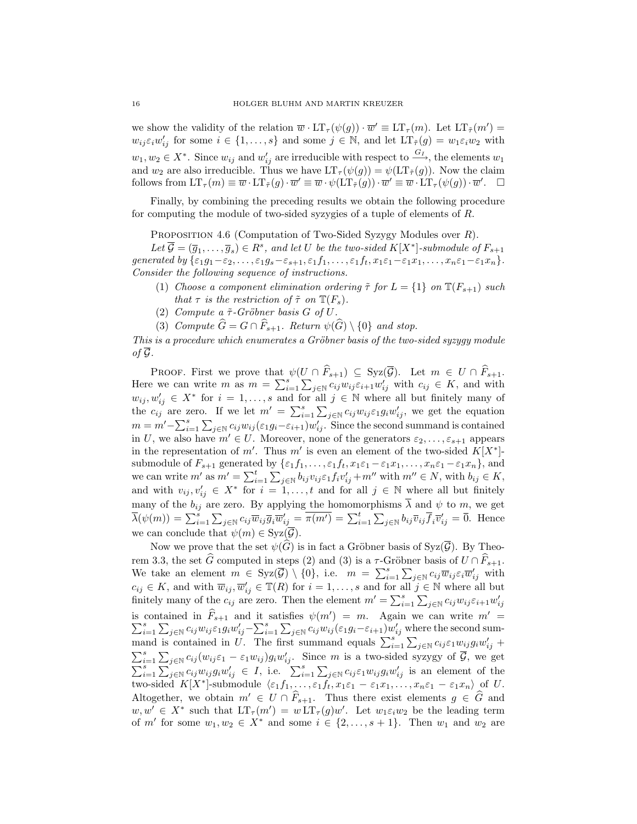we show the validity of the relation  $\overline{w} \cdot LT_{\tau}(\psi(g)) \cdot \overline{w}' \equiv LT_{\tau}(m)$ . Let  $LT_{\tilde{\tau}}(m') =$  $w_{ij} \varepsilon_i w'_{ij}$  for some  $i \in \{1, \ldots, s\}$  and some  $j \in \mathbb{N}$ , and let  $LT_{\tilde{\tau}}(g) = w_1 \varepsilon_i w_2$  with  $w_1, w_2 \in X^*$ . Since  $w_{ij}$  and  $w'_{ij}$  are irreducible with respect to  $\stackrel{G_I}{\longrightarrow}$ , the elements  $w_1$ and  $w_2$  are also irreducible. Thus we have  $LT_\tau(\psi(g)) = \psi(LT_{\tilde{\tau}}(g))$ . Now the claim follows from  $LT_{\tau}(m) \equiv \overline{w} \cdot LT_{\tilde{\tau}}(g) \cdot \overline{w}' \equiv \overline{w} \cdot \psi(LT_{\tilde{\tau}}(g)) \cdot \overline{w}' \equiv \overline{w} \cdot LT_{\tau}(\psi(g)) \cdot \overline{w}'. \square$ 

Finally, by combining the preceding results we obtain the following procedure for computing the module of two-sided syzygies of a tuple of elements of R.

PROPOSITION 4.6 (Computation of Two-Sided Syzygy Modules over  $R$ ).

Let  $\overline{\mathcal{G}} = (\overline{g}_1, \ldots, \overline{g}_s) \in R^s$ , and let U be the two-sided  $K[X^*]$ -submodule of  $F_{s+1}$ generated by  $\{\varepsilon_1g_1-\varepsilon_2,\ldots,\varepsilon_1g_s-\varepsilon_{s+1},\varepsilon_1f_1,\ldots,\varepsilon_1f_t,x_1\varepsilon_1-\varepsilon_1x_1,\ldots,x_n\varepsilon_1-\varepsilon_1x_n\}.$ Consider the following sequence of instructions.

- (1) Choose a component elimination ordering  $\tilde{\tau}$  for  $L = \{1\}$  on  $\mathbb{T}(F_{s+1})$  such that  $\tau$  is the restriction of  $\tilde{\tau}$  on  $\mathbb{T}(F_s)$ .
- (2) Compute a  $\tilde{\tau}$ -Gröbner basis G of U.
- (3) Compute  $\widehat{G} = G \cap \widehat{F}_{s+1}$ . Return  $\psi(\widehat{G}) \setminus \{0\}$  and stop.

This is a procedure which enumerates a Gröbner basis of the two-sided syzygy module of  $\mathcal G$ .

PROOF. First we prove that  $\psi(U \cap \widehat{F}_{s+1}) \subseteq Syz(\overline{\mathcal{G}})$ . Let  $m \in U \cap \widehat{F}_{s+1}$ . **Here** we can write m as  $m = \sum_{i=1}^{s}$  $i=1$  $\frac{U}{\sqrt{2}}$  $j \in \mathbb{N}$   $c_{ij} w_{ij} \varepsilon_{i+1} w'_{ij}$  with  $c_{ij} \in K$ , and with  $w_{ij}, w'_{ij} \in X^*$  for  $i = 1, ..., s$  and for all  $j \in \mathbb{N}$  where all but finitely many of the  $c_{ij}$  are zero. If we let  $m' = \sum_{i=1}^{s} \sum_{j \in \mathbb{N}} c_{ij} w_{ij} \varepsilon_1 g_i w'_{ij}$ , we get the equation the  $c_{ij}$  are  $\sum_{i}^{s}$  $i=1$  $\frac{1}{\sqrt{2}}$  $j \in \mathbb{N}$   $c_{ij}w_{ij}(\varepsilon_1 g_i-\varepsilon_{i+1})w'_{ij}$ . Since the second summand is contained in U, we also have  $m' \in U$ . Moreover, none of the generators  $\varepsilon_2, \ldots, \varepsilon_{s+1}$  appears in the representation of m'. Thus m' is even an element of the two-sided  $K[X^*]$ submodule of  $F_{s+1}$  generated by  $\{\varepsilon_1 f_1, \ldots, \varepsilon_1 f_t, x_1 \varepsilon_1 - \varepsilon_1 x_1, \ldots, x_n \varepsilon_1 - \varepsilon_1 x_n\}$ , and we can write  $m'$  as  $m' = \sum_{i=1}^t \sum_{j \in \mathbb{N}} b_{ij} v_{ij} \varepsilon_1 f_i v'_{ij} + m''$  with  $m'' \in N$ , with  $b_{ij} \in K$ , and with  $v_{ij}, v'_{ij} \in X^*$  for  $i = 1, ..., t$  and for all  $j \in \mathbb{N}$  where all but finitely many of the  $b_{ij}$  are zero. By applying the homomorphisms  $\lambda$  and  $\psi$  to  $m$ , we get  $\overline{\lambda}(\psi(m)) = \sum_{i=1}^{s} \sum_{j \in \mathbb{N}} c_{ij} \overline{w}_{ij} \overline{g}_i \overline{w}'_{ij} = \overline{\pi(m')} = \sum_{i=1}^{t} \sum_{j \in \mathbb{N}} b_{ij} \overline{v}_{ij} \overline{f}_i \overline{v}'_{ij} = \overline{0}$ . He  $\tilde{c}$  $\sum_{j \in \mathbb{N}} c_{ij} \overline{w}_{ij} \overline{g}_i \overline{w}'_{ij} = \overline{\pi(m')} = \sum_{i=1}^t$ יייי<br>ה  $j \in \mathbb{N}$   $b_{ij} \overline{v}_{ij} \overline{f}_i \overline{v}'_{ij} = \overline{0}$ . Hence we can conclude that  $\psi(m) \in \text{Syz}(\overline{\mathcal{G}})$ .

Now we prove that the set  $\psi(G)$  is in fact a Gröbner basis of Syz $(\overline{\mathcal{G}})$ . By Theorem 3.3, the set  $\widehat{G}$  computed in steps (2) and (3) is a  $\tau$ -Gröbner basis of  $U \cap \widehat{F}_{s+1}$ . The set  $G$  computed in steps (2) and (3) is a 7-G<br>We take an element  $m \in Syz(\overline{G}) \setminus \{0\}$ , i.e.  $m = \sum_{i=1}^{s}$  $\sum_{i=1}^s \sum_{j \in \mathbb{N}} c_{ij} \overline{w}_{ij} \varepsilon_i \overline{w}_{ij}'$  with  $c_{ij} \in K$ , and with  $\overline{w}_{ij}$ ,  $\overline{w}'_{ij} \in \mathbb{T}(R)$  for  $i = 1, \ldots, s$  and for all  $j \in \mathbb{N}$  where all but finitely many of the  $c_{ij}$  are zero. Then the element  $m' = \sum_{i=1}^s \sum_{j \in \mathbb{N}} c_{ij} w_{ij} \varepsilon_{i+1} w'_{ij}$ is contained in  $\widehat{F}_{s+1}$  and it satisfies  $\psi(m') = m$ . Again we can write  $m' = \sum_{s=1}^{s} \sum_{n=1}^{s} a_n \psi(m') = m$ .  $i=1$ ua<br>←  $\lim_{j\in\mathbb{N}} c_{ij}w_{ij}\varepsilon_1 g_iw_{ij}'-\sum_{i}^s$  $i=1$  $\tilde{P}$  $\sum_{i=1}^{s} \sum_{j \in \mathbb{N}} c_{ij} w_{ij} \varepsilon_1 g_i w'_{ij} - \sum_{i=1}^{s} \sum_{j \in \mathbb{N}} c_{ij} w_{ij} (\varepsilon_1 g_i - \varepsilon_{i+1}) w'_{ij}$  where the second summand is contained in U. The first summand equals  $\sum_{i=1}^{s} \sum_{j \in \mathbb{N}} c_{ij} \varepsilon_1 w_{ij} g_i w'_{ij}$  +  $\overline{\phantom{a}}$  $j \in \mathbb{N}$   $c_{ij} \varepsilon_1 w_{ij} g_i w'_{ij} +$  $\sum_{i=1}^s$  $\tilde{ }$  $\sum_{i=1}^s \sum_{j \in \mathbb{N}} c_{ij} (w_{ij} \varepsilon_1 - \varepsilon_1 w_{ij}) g_i w'_{ij}$ . Since m is a two-sided syzygy of  $\overline{\mathcal{G}}$ , we get  $\sum_{i=1}^{i=1} \sum_{j\in\mathbb{N}} c_{ij} w_{ij} c_1 e_1 e_1 w_{ij} y_i e_{ij}$ . Since *m* is a two-slitter syzygy or 9, we get<br>  $\sum_{i=1}^{s} \sum_{j\in\mathbb{N}} c_{ij} w_{ij} g_i w'_{ij} \in I$ , i.e.  $\sum_{i=1}^{s} \sum_{j\in\mathbb{N}} c_{ij} \varepsilon_1 w_{ij} g_i w'_{ij}$  is an element of the two-sided  $K[X^*]$ -submodule  $\langle \varepsilon_1 f_1, \ldots, \varepsilon_1 f_t, x_1 \varepsilon_1 - \varepsilon_1 x_1, \ldots, x_n \varepsilon_1 - \varepsilon_1 x_n \rangle$  of U. Altogether, we obtain  $m' \in U \cap \widehat{F}_{s+1}$ . Thus there exist elements  $g \in \widehat{G}$  and  $w, w' \in X^*$  such that  $LT_\tau(m') = w LT_\tau(g)w'$ . Let  $w_1 \varepsilon_i w_2$  be the leading term of m' for some  $w_1, w_2 \in X^*$  and some  $i \in \{2, \ldots, s+1\}$ . Then  $w_1$  and  $w_2$  are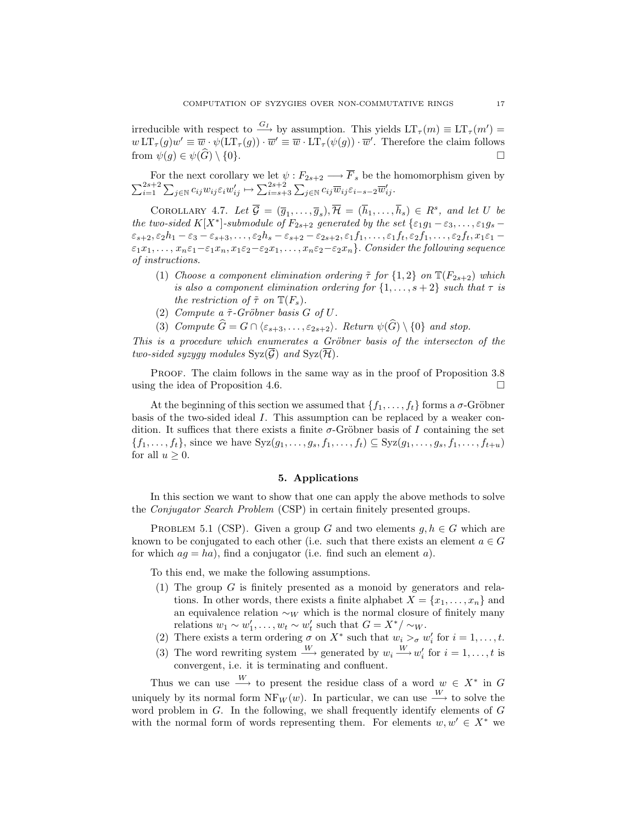irreducible with respect to  $\frac{G_I}{\longrightarrow}$  by assumption. This yields  $LT_\tau(m) \equiv LT_\tau(m') =$  $w L T_{\tau}(g) w' \equiv \overline{w} \cdot \psi(L T_{\tau}(g)) \cdot \overline{w}' \equiv \overline{w} \cdot L T_{\tau}(\psi(g)) \cdot \overline{w}'$ . Therefore the claim follows from  $\psi(q) \in \psi(\widehat{G}) \setminus \{0\}.$ 

For the next corollary we let  $\psi : F_{2s+2} \longrightarrow \overline{F}_s$  be the homomorphism given by  $\sum_{i=1}^{2s+2} \sum_{j \in \mathbb{N}} c_{ij} w_{ij} \varepsilon_i w'_{ij} \mapsto \sum_{i=s+3}^{2s+2} \sum_{j \in \mathbb{N}} c_{ij} \overline{w}_{ij} \varepsilon_{i-s-2} \overline{w}'_{ij}.$ ں<br>  $j \in \mathbb{N}$   $c_{ij} w_{ij} \varepsilon_i w'_{ij} \mapsto \sum_{i=s+3}^{2s+2}$  $\frac{1}{\sqrt{2}}$  $j \in \mathbb{N}$   $c_{ij}\overline{w}_{ij}\varepsilon_{i-s-2}\overline{w}_{ij}'.$ 

COROLLARY 4.7. Let  $\overline{\mathcal{G}} = (\overline{g}_1, \ldots, \overline{g}_s), \overline{\mathcal{H}} = (\overline{h}_1, \ldots, \overline{h}_s) \in R^s$ , and let U be the two-sided K[X<sup>\*</sup>]-submodule of  $F_{2s+2}$  generated by the set { $\varepsilon_1g_1-\varepsilon_3,\ldots,\varepsilon_1g_s$ - $\varepsilon_{s+2}, \varepsilon_2h_1-\varepsilon_3-\varepsilon_{s+3}, \ldots, \varepsilon_2h_s-\varepsilon_{s+2}-\varepsilon_{2s+2}, \varepsilon_1f_1, \ldots, \varepsilon_1f_t, \varepsilon_2f_1, \ldots, \varepsilon_2f_t, x_1\varepsilon_1-\varepsilon_2f_t, x_2\varepsilon_1$  $\varepsilon_1x_1, \ldots, x_n\varepsilon_1-\varepsilon_1x_n, x_1\varepsilon_2-\varepsilon_2x_1, \ldots, x_n\varepsilon_2-\varepsilon_2x_n\}$ . Consider the following sequence of instructions.

- (1) Choose a component elimination ordering  $\tilde{\tau}$  for  $\{1,2\}$  on  $\mathbb{T}(F_{2s+2})$  which is also a component elimination ordering for  $\{1, \ldots, s+2\}$  such that  $\tau$  is the restriction of  $\tilde{\tau}$  on  $\mathbb{T}(F_s)$ .
- (2) Compute a  $\tilde{\tau}$ -Gröbner basis G of U.
- (3) Compute  $\widehat{G} = G \cap \langle \varepsilon_{s+3}, \ldots, \varepsilon_{2s+2} \rangle$ . Return  $\psi(\widehat{G}) \setminus \{0\}$  and stop.

This is a procedure which enumerates a Gröbner basis of the intersecton of the two-sided syzygy modules  $Syz(\overline{G})$  and  $Syz(\overline{\mathcal{H}})$ .

PROOF. The claim follows in the same way as in the proof of Proposition 3.8 using the idea of Proposition 4.6.  $\Box$ 

At the beginning of this section we assumed that  $\{f_1, \ldots, f_t\}$  forms a  $\sigma$ -Gröbner basis of the two-sided ideal I. This assumption can be replaced by a weaker condition. It suffices that there exists a finite  $\sigma$ -Gröbner basis of I containing the set  ${f_1,\ldots,f_t}$ , since we have  $Syz(g_1,\ldots,g_s,f_1,\ldots,f_t) \subseteq Syz(g_1,\ldots,g_s,f_1,\ldots,f_{t+u})$ for all  $u \geq 0$ .

### 5. Applications

In this section we want to show that one can apply the above methods to solve the Conjugator Search Problem (CSP) in certain finitely presented groups.

PROBLEM 5.1 (CSP). Given a group G and two elements  $g, h \in G$  which are known to be conjugated to each other (i.e. such that there exists an element  $a \in G$ for which  $ag = ha$ , find a conjugator (i.e. find such an element a).

To this end, we make the following assumptions.

- (1) The group G is finitely presented as a monoid by generators and relations. In other words, there exists a finite alphabet  $X = \{x_1, \ldots, x_n\}$  and an equivalence relation  $\sim_W$  which is the normal closure of finitely many relations  $w_1 \sim w'_1, \ldots, w_t \sim w'_t$  such that  $G = X^*/ \sim_W$ .
- (2) There exists a term ordering  $\sigma$  on  $X^*$  such that  $w_i >_{\sigma} w'_i$  for  $i = 1, \ldots, t$ .
- (3) The word rewriting system  $\frac{W}{\longrightarrow}$  generated by  $w_i \stackrel{W}{\longrightarrow} w'_i$  for  $i = 1, \ldots, t$  is convergent, i.e. it is terminating and confluent.

Thus we can use  $\stackrel{W}{\longrightarrow}$  to present the residue class of a word  $w \in X^*$  in G uniquely by its normal form NF<sub>W</sub> (w). In particular, we can use  $\frac{W}{\longrightarrow}$  to solve the word problem in  $G$ . In the following, we shall frequently identify elements of  $G$ with the normal form of words representing them. For elements  $w, w' \in X^*$  we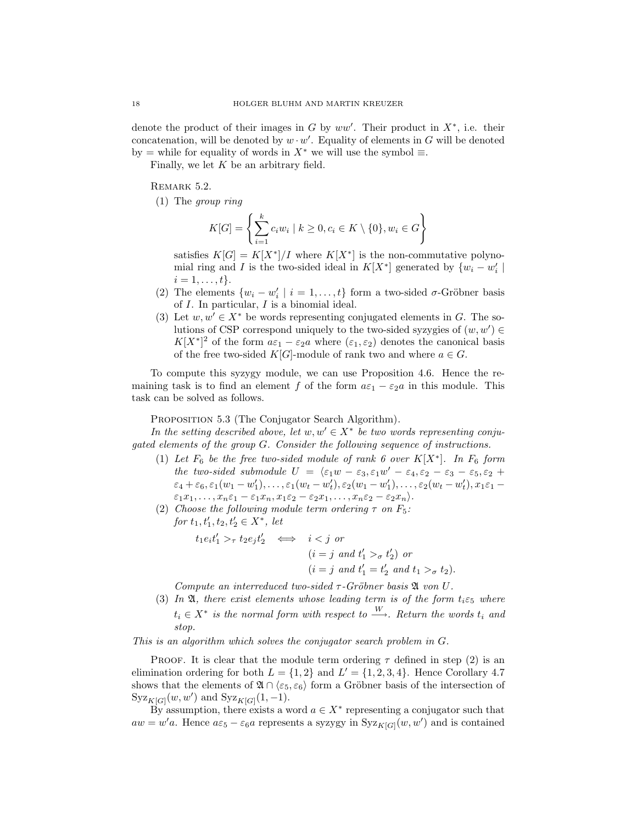denote the product of their images in G by  $ww'$ . Their product in  $X^*$ , i.e. their concatenation, will be denoted by  $w \cdot w'$ . Equality of elements in G will be denoted by = while for equality of words in  $X^*$  we will use the symbol  $\equiv$ .

Finally, we let  $K$  be an arbitrary field.

REMARK 5.2.

(1) The group ring

$$
K[G] = \left\{ \sum_{i=1}^{k} c_i w_i \mid k \ge 0, c_i \in K \setminus \{0\}, w_i \in G \right\}
$$

satisfies  $K[G] = K[X^*]/I$  where  $K[X^*]$  is the non-commutative polynomial ring and I is the two-sided ideal in  $K[X^*]$  generated by  $\{w_i - w'_i \mid$  $i = 1, \ldots, t$ .

- (2) The elements  $\{w_i w'_i \mid i = 1, \ldots, t\}$  form a two-sided  $\sigma$ -Gröbner basis of I. In particular, I is a binomial ideal.
- (3) Let  $w, w' \in X^*$  be words representing conjugated elements in G. The solutions of CSP correspond uniquely to the two-sided syzygies of  $(w, w') \in$  $K[X^*]^2$  of the form  $a\varepsilon_1 - \varepsilon_2 a$  where  $(\varepsilon_1, \varepsilon_2)$  denotes the canonical basis of the free two-sided  $K[G]$ -module of rank two and where  $a \in G$ .

To compute this syzygy module, we can use Proposition 4.6. Hence the remaining task is to find an element f of the form  $a\varepsilon_1 - \varepsilon_2 a$  in this module. This task can be solved as follows.

PROPOSITION 5.3 (The Conjugator Search Algorithm).

In the setting described above, let  $w, w' \in X^*$  be two words representing conjugated elements of the group G. Consider the following sequence of instructions.

- (1) Let  $F_6$  be the free two-sided module of rank 6 over  $K[X^*]$ . In  $F_6$  form the two-sided submodule  $U = \langle \varepsilon_1 w - \varepsilon_3, \varepsilon_1 w' - \varepsilon_4, \varepsilon_2 - \varepsilon_3 - \varepsilon_5, \varepsilon_2 + \varepsilon_4 \rangle$  $\varepsilon_4 + \varepsilon_6, \varepsilon_1(w_1 - w_1'), \ldots, \varepsilon_1(w_t - w_t'), \varepsilon_2(w_1 - w_1'), \ldots, \varepsilon_2(w_t - w_t'), x_1 \varepsilon_1 \varepsilon_1x_1,\ldots,x_n\varepsilon_1-\varepsilon_1x_n,x_1\varepsilon_2-\varepsilon_2x_1,\ldots,x_n\varepsilon_2-\varepsilon_2x_n\rangle.$
- (2) Choose the following module term ordering  $\tau$  on  $F_5$ : for  $t_1, t'_1, t_2, t'_2 \in X^*$ , let

$$
t_1e_it'_1 >_\tau t_2e_jt'_2 \iff i < j \text{ or}
$$
  
\n
$$
(i = j \text{ and } t'_1 >_\sigma t'_2) \text{ or}
$$
  
\n
$$
(i = j \text{ and } t'_1 = t'_2 \text{ and } t_1 >_\sigma t_2).
$$

Compute an interreduced two-sided  $\tau$ -Gröbner basis  $\mathfrak{A}$  von U.

(3) In  $\mathfrak{A}$ , there exist elements whose leading term is of the form  $t_i \varepsilon_5$  where  $t_i \in X^*$  is the normal form with respect to  $\stackrel{W}{\longrightarrow}$ . Return the words  $t_i$  and stop.

This is an algorithm which solves the conjugator search problem in G.

PROOF. It is clear that the module term ordering  $\tau$  defined in step (2) is an elimination ordering for both  $L = \{1, 2\}$  and  $L' = \{1, 2, 3, 4\}$ . Hence Corollary 4.7 shows that the elements of  $\mathfrak{A} \cap \langle \varepsilon_5, \varepsilon_6 \rangle$  form a Gröbner basis of the intersection of  $Syz_{K[G]}(w, w')$  and  $Syz_{K[G]}(1, -1)$ .

By assumption, there exists a word  $a \in X^*$  representing a conjugator such that  $aw = w'a$ . Hence  $a\varepsilon_5 - \varepsilon_6 a$  represents a syzygy in  $Syz_{K[G]}(w, w')$  and is contained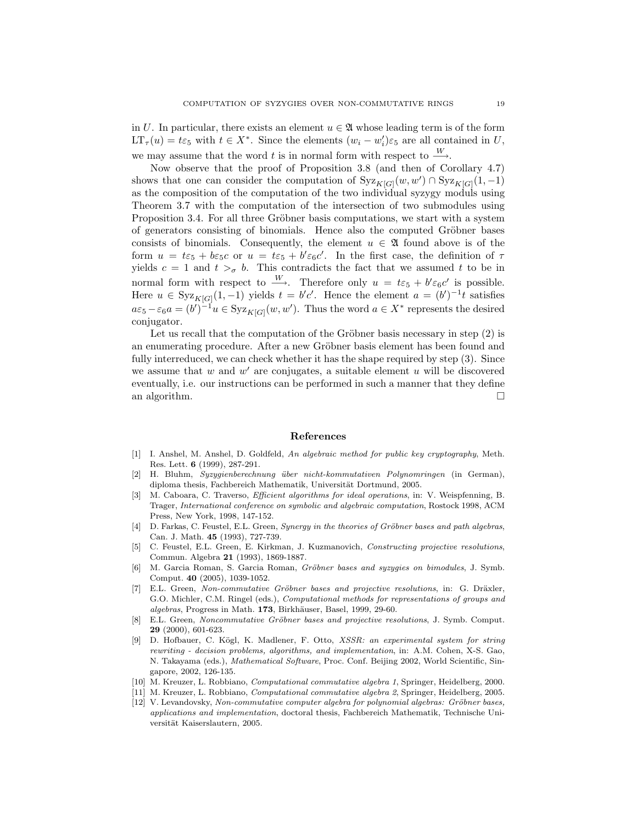in U. In particular, there exists an element  $u \in \mathfrak{A}$  whose leading term is of the form  $LT_{\tau}(u) = t\varepsilon_5$  with  $t \in X^*$ . Since the elements  $(w_i - w'_i)\varepsilon_5$  are all contained in U, we may assume that the word t is in normal form with respect to  $\frac{W}{\longrightarrow}$ .

Now observe that the proof of Proposition 3.8 (and then of Corollary 4.7) shows that one can consider the computation of  $Syz_{K[G]}(w, w') \cap Syz_{K[G]}(1, -1)$ as the composition of the computation of the two individual syzygy moduls using Theorem 3.7 with the computation of the intersection of two submodules using Proposition 3.4. For all three Gröbner basis computations, we start with a system of generators consisting of binomials. Hence also the computed Gröbner bases consists of binomials. Consequently, the element  $u \in \mathfrak{A}$  found above is of the form  $u = t\varepsilon_5 + b\varepsilon_5c$  or  $u = t\varepsilon_5 + b'\varepsilon_6c'$ . In the first case, the definition of  $\tau$ yields  $c = 1$  and  $t >_{\sigma} b$ . This contradicts the fact that we assumed t to be in normal form with respect to  $\stackrel{W}{\longrightarrow}$ . Therefore only  $u = t\varepsilon_5 + b'\varepsilon_6 c'$  is possible. Here  $u \in Syz_{K[G]}(1,-1)$  yields  $t = b'c'$ . Hence the element  $a = (b')^{-1}t$  satisfies  $a\varepsilon_5 - \varepsilon_6 a = (b')^{-1}u \in \mathrm{Syz}_{K[G]}(w, w')$ . Thus the word  $a \in X^*$  represents the desired conjugator.

Let us recall that the computation of the Gröbner basis necessary in step  $(2)$  is an enumerating procedure. After a new Gröbner basis element has been found and fully interreduced, we can check whether it has the shape required by step (3). Since we assume that  $w$  and  $w'$  are conjugates, a suitable element  $u$  will be discovered eventually, i.e. our instructions can be performed in such a manner that they define an algorithm.  $\Box$ 

#### References

- [1] I. Anshel, M. Anshel, D. Goldfeld, An algebraic method for public key cryptography, Meth. Res. Lett. 6 (1999), 287-291.
- [2] H. Bluhm, Syzygienberechnung ¨uber nicht-kommutativen Polynomringen (in German), diploma thesis, Fachbereich Mathematik, Universität Dortmund, 2005.
- [3] M. Caboara, C. Traverso, Efficient algorithms for ideal operations, in: V. Weispfenning, B. Trager, International conference on symbolic and algebraic computation, Rostock 1998, ACM Press, New York, 1998, 147-152.
- [4] D. Farkas, C. Feustel, E.L. Green, Synergy in the theories of Gröbner bases and path algebras, Can. J. Math. 45 (1993), 727-739.
- [5] C. Feustel, E.L. Green, E. Kirkman, J. Kuzmanovich, Constructing projective resolutions, Commun. Algebra 21 (1993), 1869-1887.
- [6] M. Garcia Roman, S. Garcia Roman, Gröbner bases and syzygies on bimodules, J. Symb. Comput. 40 (2005), 1039-1052.
- [7] E.L. Green, Non-commutative Gröbner bases and projective resolutions, in: G. Dräxler, G.O. Michler, C.M. Ringel (eds.), Computational methods for representations of groups and algebras, Progress in Math. 173, Birkhäuser, Basel, 1999, 29-60.
- E.L. Green, Noncommutative Gröbner bases and projective resolutions, J. Symb. Comput. 29 (2000), 601-623.
- [9] D. Hofbauer, C. Kögl, K. Madlener, F. Otto, XSSR: an experimental system for string rewriting - decision problems, algorithms, and implementation, in: A.M. Cohen, X-S. Gao, N. Takayama (eds.), Mathematical Software, Proc. Conf. Beijing 2002, World Scientific, Singapore, 2002, 126-135.
- [10] M. Kreuzer, L. Robbiano, Computational commutative algebra 1, Springer, Heidelberg, 2000.
- [11] M. Kreuzer, L. Robbiano, Computational commutative algebra 2, Springer, Heidelberg, 2005.
- [12] V. Levandovsky, Non-commutative computer algebra for polynomial algebras: Gröbner bases, applications and implementation, doctoral thesis, Fachbereich Mathematik, Technische Universität Kaiserslautern, 2005.